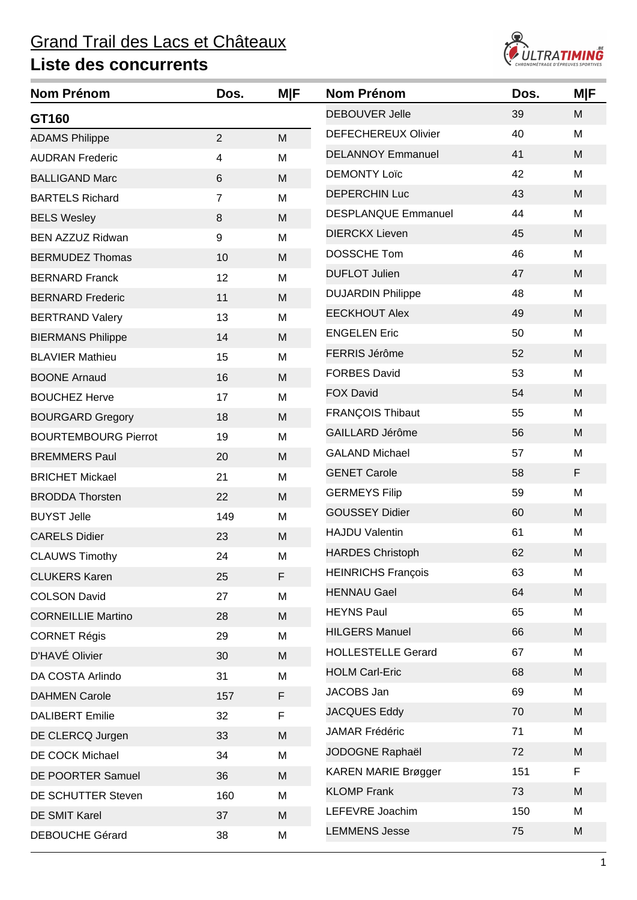

| <b>Nom Prénom</b>           | Dos.            | M F         | <b>Nom Prénom</b>          | Dos. | <b>M F</b> |
|-----------------------------|-----------------|-------------|----------------------------|------|------------|
| GT160                       |                 |             | <b>DEBOUVER Jelle</b>      | 39   | M          |
| <b>ADAMS Philippe</b>       | $\overline{2}$  | M           | <b>DEFECHEREUX Olivier</b> | 40   | M          |
| <b>AUDRAN Frederic</b>      | 4               | M           | <b>DELANNOY Emmanuel</b>   | 41   | M          |
| <b>BALLIGAND Marc</b>       | $6\phantom{1}6$ | M           | <b>DEMONTY Loïc</b>        | 42   | M          |
| <b>BARTELS Richard</b>      | $\overline{7}$  | M           | <b>DEPERCHIN Luc</b>       | 43   | M          |
| <b>BELS Wesley</b>          | 8               | M           | <b>DESPLANQUE Emmanuel</b> | 44   | M          |
| <b>BEN AZZUZ Ridwan</b>     | 9               | M           | <b>DIERCKX Lieven</b>      | 45   | M          |
| <b>BERMUDEZ Thomas</b>      | 10              | M           | DOSSCHE Tom                | 46   | M          |
| <b>BERNARD Franck</b>       | 12              | M           | <b>DUFLOT Julien</b>       | 47   | M          |
| <b>BERNARD Frederic</b>     | 11              | M           | <b>DUJARDIN Philippe</b>   | 48   | M          |
| <b>BERTRAND Valery</b>      | 13              | M           | <b>EECKHOUT Alex</b>       | 49   | M          |
| <b>BIERMANS Philippe</b>    | 14              | M           | <b>ENGELEN Eric</b>        | 50   | M          |
| <b>BLAVIER Mathieu</b>      | 15              | M           | FERRIS Jérôme              | 52   | M          |
| <b>BOONE Arnaud</b>         | 16              | M           | <b>FORBES David</b>        | 53   | M          |
| <b>BOUCHEZ Herve</b>        | 17              | M           | <b>FOX David</b>           | 54   | M          |
| <b>BOURGARD Gregory</b>     | 18              | M           | <b>FRANÇOIS Thibaut</b>    | 55   | M          |
| <b>BOURTEMBOURG Pierrot</b> | 19              | M           | GAILLARD Jérôme            | 56   | M          |
| <b>BREMMERS Paul</b>        | 20              | M           | <b>GALAND Michael</b>      | 57   | M          |
| <b>BRICHET Mickael</b>      | 21              | M           | <b>GENET Carole</b>        | 58   | F          |
| <b>BRODDA Thorsten</b>      | 22              | M           | <b>GERMEYS Filip</b>       | 59   | M          |
| <b>BUYST Jelle</b>          | 149             | M           | <b>GOUSSEY Didier</b>      | 60   | M          |
| <b>CARELS Didier</b>        | 23              | M           | <b>HAJDU Valentin</b>      | 61   | M          |
| <b>CLAUWS Timothy</b>       | 24              | M           | <b>HARDES Christoph</b>    | 62   | M          |
| <b>CLUKERS Karen</b>        | 25              | $\mathsf F$ | <b>HEINRICHS François</b>  | 63   | M          |
| <b>COLSON David</b>         | 27              | M           | <b>HENNAU Gael</b>         | 64   | M          |
| <b>CORNEILLIE Martino</b>   | 28              | M           | <b>HEYNS Paul</b>          | 65   | M          |
| <b>CORNET Régis</b>         | 29              | M           | <b>HILGERS Manuel</b>      | 66   | M          |
| D'HAVÉ Olivier              | 30              | ${\sf M}$   | <b>HOLLESTELLE Gerard</b>  | 67   | M          |
| DA COSTA Arlindo            | 31              | M           | <b>HOLM Carl-Eric</b>      | 68   | M          |
| <b>DAHMEN Carole</b>        | 157             | F           | JACOBS Jan                 | 69   | M          |
| <b>DALIBERT Emilie</b>      | 32              | F           | <b>JACQUES Eddy</b>        | 70   | M          |
| DE CLERCQ Jurgen            | 33              | M           | <b>JAMAR Frédéric</b>      | 71   | M          |
| DE COCK Michael             | 34              | M           | JODOGNE Raphaël            | 72   | M          |
| DE POORTER Samuel           | 36              | M           | <b>KAREN MARIE Brøgger</b> | 151  | F          |
| DE SCHUTTER Steven          | 160             | M           | <b>KLOMP Frank</b>         | 73   | M          |
| DE SMIT Karel               | 37              | M           | LEFEVRE Joachim            | 150  | M          |
| <b>DEBOUCHE Gérard</b>      | 38              | M           | <b>LEMMENS Jesse</b>       | 75   | M          |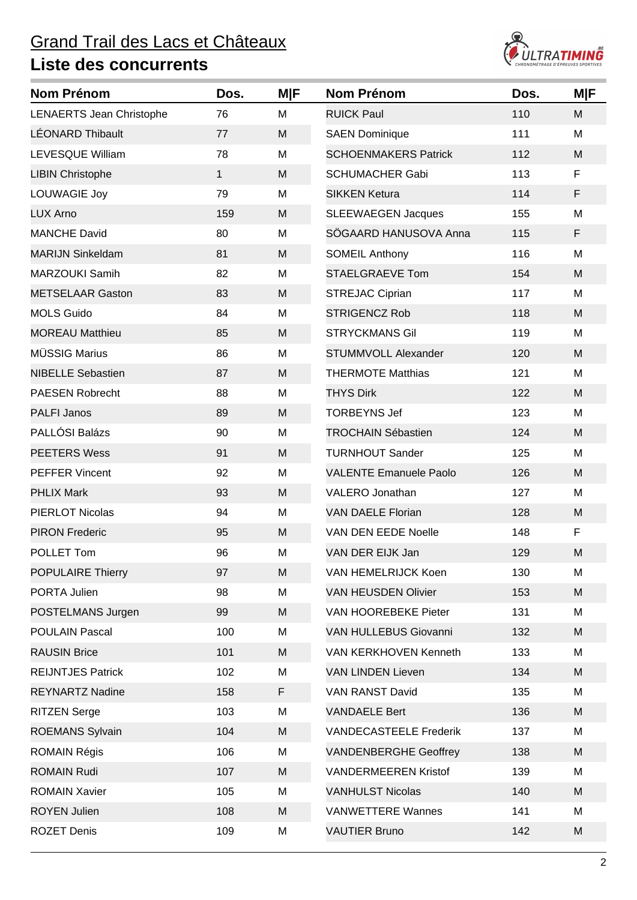

| <b>Nom Prénom</b>               | Dos.         | <b>M F</b> | <b>Nom Prénom</b>             | Dos. | <b>M F</b> |
|---------------------------------|--------------|------------|-------------------------------|------|------------|
| <b>LENAERTS Jean Christophe</b> | 76           | M          | <b>RUICK Paul</b>             | 110  | M          |
| <b>LÉONARD Thibault</b>         | 77           | M          | <b>SAEN Dominique</b>         | 111  | M          |
| LEVESQUE William                | 78           | M          | <b>SCHOENMAKERS Patrick</b>   | 112  | M          |
| <b>LIBIN Christophe</b>         | $\mathbf{1}$ | M          | <b>SCHUMACHER Gabi</b>        | 113  | F          |
| LOUWAGIE Joy                    | 79           | M          | <b>SIKKEN Ketura</b>          | 114  | F          |
| <b>LUX Arno</b>                 | 159          | M          | <b>SLEEWAEGEN Jacques</b>     | 155  | M          |
| <b>MANCHE David</b>             | 80           | M          | SÖGAARD HANUSOVA Anna         | 115  | F          |
| <b>MARIJN Sinkeldam</b>         | 81           | M          | <b>SOMEIL Anthony</b>         | 116  | M          |
| <b>MARZOUKI Samih</b>           | 82           | M          | <b>STAELGRAEVE Tom</b>        | 154  | M          |
| <b>METSELAAR Gaston</b>         | 83           | M          | <b>STREJAC Ciprian</b>        | 117  | M          |
| <b>MOLS Guido</b>               | 84           | M          | <b>STRIGENCZ Rob</b>          | 118  | M          |
| <b>MOREAU Matthieu</b>          | 85           | M          | <b>STRYCKMANS Gil</b>         | 119  | M          |
| MÜSSIG Marius                   | 86           | M          | <b>STUMMVOLL Alexander</b>    | 120  | M          |
| <b>NIBELLE Sebastien</b>        | 87           | M          | <b>THERMOTE Matthias</b>      | 121  | M          |
| <b>PAESEN Robrecht</b>          | 88           | M          | <b>THYS Dirk</b>              | 122  | M          |
| <b>PALFI Janos</b>              | 89           | M          | <b>TORBEYNS Jef</b>           | 123  | M          |
| PALLÓSI Balázs                  | 90           | M          | <b>TROCHAIN Sébastien</b>     | 124  | M          |
| <b>PEETERS Wess</b>             | 91           | M          | <b>TURNHOUT Sander</b>        | 125  | M          |
| <b>PEFFER Vincent</b>           | 92           | M          | <b>VALENTE Emanuele Paolo</b> | 126  | M          |
| <b>PHLIX Mark</b>               | 93           | M          | <b>VALERO Jonathan</b>        | 127  | M          |
| <b>PIERLOT Nicolas</b>          | 94           | M          | <b>VAN DAELE Florian</b>      | 128  | M          |
| <b>PIRON Frederic</b>           | 95           | M          | VAN DEN EEDE Noelle           | 148  | F          |
| POLLET Tom                      | 96           | M          | VAN DER EIJK Jan              | 129  | M          |
| <b>POPULAIRE Thierry</b>        | 97           | M          | VAN HEMELRIJCK Koen           | 130  | M          |
| PORTA Julien                    | 98           | M          | <b>VAN HEUSDEN Olivier</b>    | 153  | M          |
| POSTELMANS Jurgen               | 99           | M          | VAN HOOREBEKE Pieter          | 131  | M          |
| <b>POULAIN Pascal</b>           | 100          | M          | VAN HULLEBUS Giovanni         | 132  | M          |
| <b>RAUSIN Brice</b>             | 101          | M          | <b>VAN KERKHOVEN Kenneth</b>  | 133  | M          |
| <b>REIJNTJES Patrick</b>        | 102          | M          | <b>VAN LINDEN Lieven</b>      | 134  | M          |
| <b>REYNARTZ Nadine</b>          | 158          | F          | <b>VAN RANST David</b>        | 135  | M          |
| <b>RITZEN Serge</b>             | 103          | M          | <b>VANDAELE Bert</b>          | 136  | M          |
| <b>ROEMANS Sylvain</b>          | 104          | M          | <b>VANDECASTEELE Frederik</b> | 137  | M          |
| <b>ROMAIN Régis</b>             | 106          | M          | <b>VANDENBERGHE Geoffrey</b>  | 138  | M          |
| <b>ROMAIN Rudi</b>              | 107          | M          | <b>VANDERMEEREN Kristof</b>   | 139  | M          |
| <b>ROMAIN Xavier</b>            | 105          | M          | <b>VANHULST Nicolas</b>       | 140  | M          |
| <b>ROYEN Julien</b>             | 108          | M          | <b>VANWETTERE Wannes</b>      | 141  | M          |
| <b>ROZET Denis</b>              | 109          | M          | <b>VAUTIER Bruno</b>          | 142  | M          |
|                                 |              |            |                               |      |            |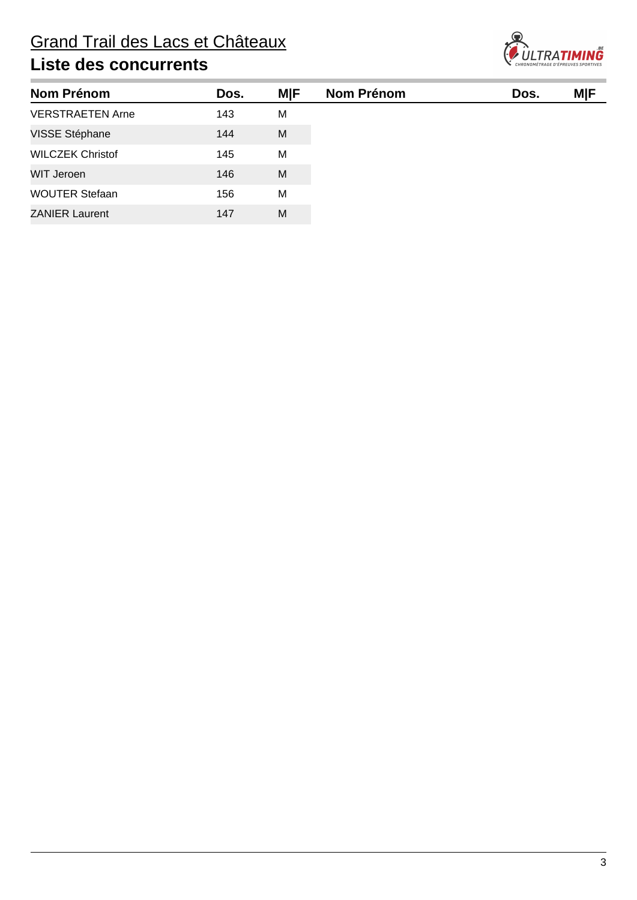

| <b>Nom Prénom</b>       | Dos. | <b>MIF</b> | <b>Nom Prénom</b> | Dos. | MIF |
|-------------------------|------|------------|-------------------|------|-----|
| <b>VERSTRAETEN Arne</b> | 143  | м          |                   |      |     |
| VISSE Stéphane          | 144  | M          |                   |      |     |
| <b>WILCZEK Christof</b> | 145  | M          |                   |      |     |
| WIT Jeroen              | 146  | M          |                   |      |     |
| <b>WOUTER Stefaan</b>   | 156  | м          |                   |      |     |
| <b>ZANIER Laurent</b>   | 147  | M          |                   |      |     |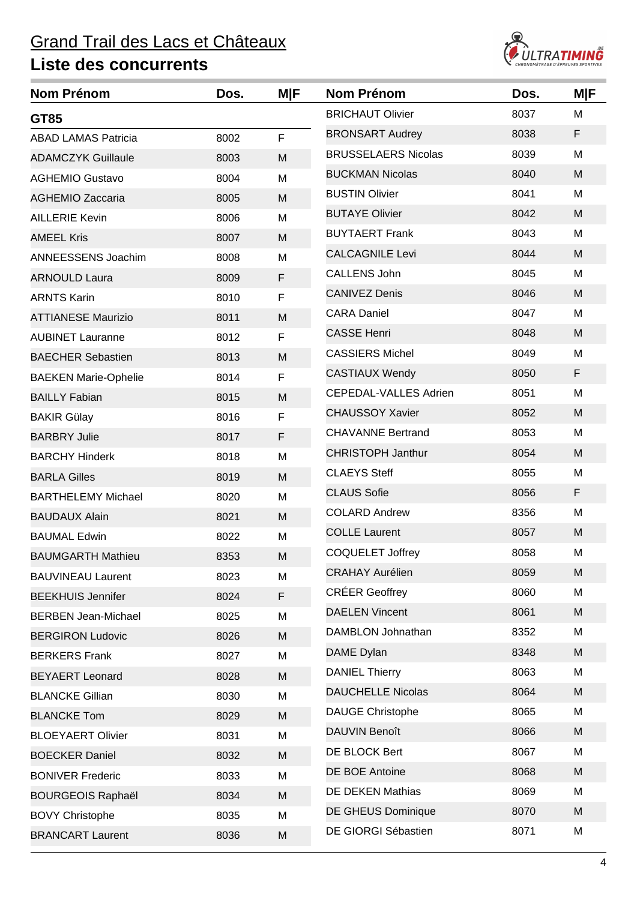

| <b>Nom Prénom</b>           | Dos. | MIF | <b>Nom Prénom</b>            | Dos. | <b>MIF</b> |
|-----------------------------|------|-----|------------------------------|------|------------|
| GT85                        |      |     | <b>BRICHAUT Olivier</b>      | 8037 | M          |
| <b>ABAD LAMAS Patricia</b>  | 8002 | F   | <b>BRONSART Audrey</b>       | 8038 | F          |
| <b>ADAMCZYK Guillaule</b>   | 8003 | M   | <b>BRUSSELAERS Nicolas</b>   | 8039 | M          |
| <b>AGHEMIO Gustavo</b>      | 8004 | M   | <b>BUCKMAN Nicolas</b>       | 8040 | M          |
| <b>AGHEMIO Zaccaria</b>     | 8005 | M   | <b>BUSTIN Olivier</b>        | 8041 | M          |
| <b>AILLERIE Kevin</b>       | 8006 | M   | <b>BUTAYE Olivier</b>        | 8042 | M          |
| <b>AMEEL Kris</b>           | 8007 | M   | <b>BUYTAERT Frank</b>        | 8043 | M          |
| <b>ANNEESSENS Joachim</b>   | 8008 | M   | <b>CALCAGNILE Levi</b>       | 8044 | M          |
| <b>ARNOULD Laura</b>        | 8009 | F   | <b>CALLENS John</b>          | 8045 | M          |
| <b>ARNTS Karin</b>          | 8010 | F   | <b>CANIVEZ Denis</b>         | 8046 | M          |
| <b>ATTIANESE Maurizio</b>   | 8011 | M   | <b>CARA Daniel</b>           | 8047 | M          |
| <b>AUBINET Lauranne</b>     | 8012 | F   | <b>CASSE Henri</b>           | 8048 | M          |
| <b>BAECHER Sebastien</b>    | 8013 | M   | <b>CASSIERS Michel</b>       | 8049 | M          |
| <b>BAEKEN Marie-Ophelie</b> | 8014 | F   | <b>CASTIAUX Wendy</b>        | 8050 | F          |
| <b>BAILLY Fabian</b>        | 8015 | M   | <b>CEPEDAL-VALLES Adrien</b> | 8051 | M          |
| <b>BAKIR Gülay</b>          | 8016 | F   | <b>CHAUSSOY Xavier</b>       | 8052 | M          |
| <b>BARBRY Julie</b>         | 8017 | F   | <b>CHAVANNE Bertrand</b>     | 8053 | M          |
| <b>BARCHY Hinderk</b>       | 8018 | M   | <b>CHRISTOPH Janthur</b>     | 8054 | M          |
| <b>BARLA Gilles</b>         | 8019 | M   | <b>CLAEYS Steff</b>          | 8055 | M          |
| <b>BARTHELEMY Michael</b>   | 8020 | M   | <b>CLAUS Sofie</b>           | 8056 | F          |
| <b>BAUDAUX Alain</b>        | 8021 | M   | <b>COLARD Andrew</b>         | 8356 | M          |
| <b>BAUMAL Edwin</b>         | 8022 | M   | <b>COLLE Laurent</b>         | 8057 | M          |
| <b>BAUMGARTH Mathieu</b>    | 8353 | M   | <b>COQUELET Joffrey</b>      | 8058 | M          |
| <b>BAUVINEAU Laurent</b>    | 8023 | M   | <b>CRAHAY Aurélien</b>       | 8059 | M          |
| <b>BEEKHUIS Jennifer</b>    | 8024 | F   | <b>CRÉER Geoffrey</b>        | 8060 | M          |
| <b>BERBEN Jean-Michael</b>  | 8025 | M   | <b>DAELEN Vincent</b>        | 8061 | M          |
| <b>BERGIRON Ludovic</b>     | 8026 | M   | DAMBLON Johnathan            | 8352 | M          |
| <b>BERKERS Frank</b>        | 8027 | M   | DAME Dylan                   | 8348 | M          |
| <b>BEYAERT Leonard</b>      | 8028 | M   | <b>DANIEL Thierry</b>        | 8063 | M          |
| <b>BLANCKE Gillian</b>      | 8030 | M   | <b>DAUCHELLE Nicolas</b>     | 8064 | M          |
| <b>BLANCKE Tom</b>          | 8029 | M   | <b>DAUGE Christophe</b>      | 8065 | M          |
| <b>BLOEYAERT Olivier</b>    | 8031 | M   | <b>DAUVIN Benoît</b>         | 8066 | M          |
| <b>BOECKER Daniel</b>       | 8032 | M   | DE BLOCK Bert                | 8067 | M          |
| <b>BONIVER Frederic</b>     | 8033 | M   | DE BOE Antoine               | 8068 | M          |
| <b>BOURGEOIS Raphaël</b>    | 8034 | M   | <b>DE DEKEN Mathias</b>      | 8069 | M          |
| <b>BOVY Christophe</b>      | 8035 | M   | <b>DE GHEUS Dominique</b>    | 8070 | M          |
| <b>BRANCART Laurent</b>     | 8036 | M   | DE GIORGI Sébastien          | 8071 | M          |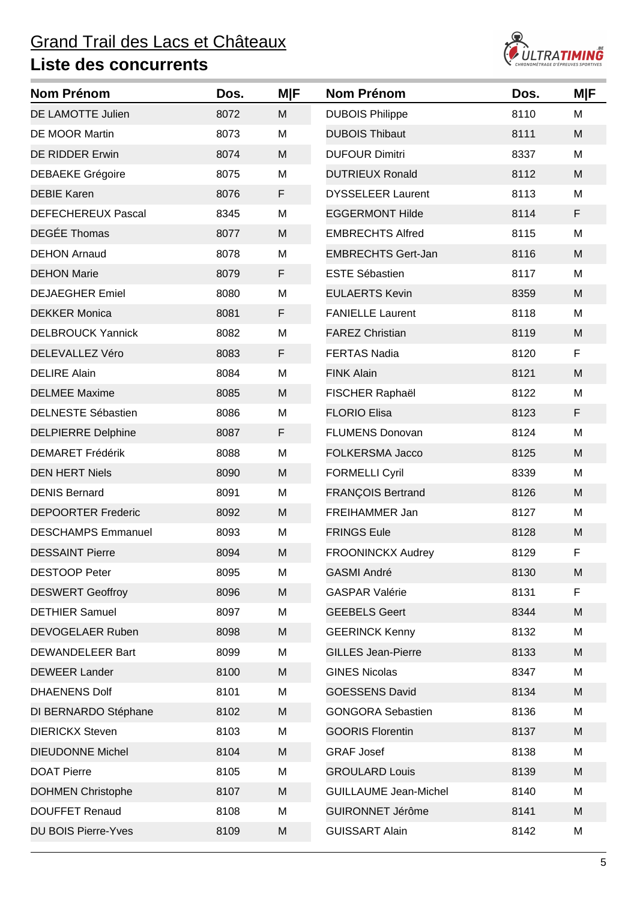

| <b>Nom Prénom</b>          | Dos. | M F | <b>Nom Prénom</b>            | Dos. | M F |
|----------------------------|------|-----|------------------------------|------|-----|
| DE LAMOTTE Julien          | 8072 | M   | <b>DUBOIS Philippe</b>       | 8110 | M   |
| <b>DE MOOR Martin</b>      | 8073 | M   | <b>DUBOIS Thibaut</b>        | 8111 | M   |
| <b>DE RIDDER Erwin</b>     | 8074 | M   | <b>DUFOUR Dimitri</b>        | 8337 | M   |
| <b>DEBAEKE Grégoire</b>    | 8075 | M   | <b>DUTRIEUX Ronald</b>       | 8112 | M   |
| <b>DEBIE Karen</b>         | 8076 | F   | <b>DYSSELEER Laurent</b>     | 8113 | M   |
| <b>DEFECHEREUX Pascal</b>  | 8345 | M   | <b>EGGERMONT Hilde</b>       | 8114 | F   |
| <b>DEGÉE Thomas</b>        | 8077 | M   | <b>EMBRECHTS Alfred</b>      | 8115 | M   |
| <b>DEHON Arnaud</b>        | 8078 | M   | <b>EMBRECHTS Gert-Jan</b>    | 8116 | M   |
| <b>DEHON Marie</b>         | 8079 | F   | <b>ESTE Sébastien</b>        | 8117 | M   |
| <b>DEJAEGHER Emiel</b>     | 8080 | M   | <b>EULAERTS Kevin</b>        | 8359 | M   |
| <b>DEKKER Monica</b>       | 8081 | F   | <b>FANIELLE Laurent</b>      | 8118 | M   |
| <b>DELBROUCK Yannick</b>   | 8082 | M   | <b>FAREZ Christian</b>       | 8119 | M   |
| DELEVALLEZ Véro            | 8083 | F   | <b>FERTAS Nadia</b>          | 8120 | F   |
| <b>DELIRE Alain</b>        | 8084 | M   | <b>FINK Alain</b>            | 8121 | M   |
| <b>DELMEE Maxime</b>       | 8085 | M   | FISCHER Raphaël              | 8122 | M   |
| <b>DELNESTE Sébastien</b>  | 8086 | M   | <b>FLORIO Elisa</b>          | 8123 | F   |
| <b>DELPIERRE Delphine</b>  | 8087 | F   | <b>FLUMENS Donovan</b>       | 8124 | M   |
| <b>DEMARET Frédérik</b>    | 8088 | M   | <b>FOLKERSMA Jacco</b>       | 8125 | M   |
| <b>DEN HERT Niels</b>      | 8090 | M   | <b>FORMELLI Cyril</b>        | 8339 | M   |
| <b>DENIS Bernard</b>       | 8091 | M   | <b>FRANÇOIS Bertrand</b>     | 8126 | M   |
| <b>DEPOORTER Frederic</b>  | 8092 | M   | FREIHAMMER Jan               | 8127 | M   |
| <b>DESCHAMPS Emmanuel</b>  | 8093 | M   | <b>FRINGS Eule</b>           | 8128 | M   |
| <b>DESSAINT Pierre</b>     | 8094 | M   | <b>FROONINCKX Audrey</b>     | 8129 | F   |
| <b>DESTOOP Peter</b>       | 8095 | M   | <b>GASMI André</b>           | 8130 | M   |
| <b>DESWERT Geoffroy</b>    | 8096 | M   | <b>GASPAR Valérie</b>        | 8131 | F   |
| <b>DETHIER Samuel</b>      | 8097 | М   | <b>GEEBELS Geert</b>         | 8344 | M   |
| DEVOGELAER Ruben           | 8098 | M   | <b>GEERINCK Kenny</b>        | 8132 | M   |
| DEWANDELEER Bart           | 8099 | M   | <b>GILLES Jean-Pierre</b>    | 8133 | M   |
| <b>DEWEER Lander</b>       | 8100 | M   | <b>GINES Nicolas</b>         | 8347 | M   |
| <b>DHAENENS Dolf</b>       | 8101 | M   | <b>GOESSENS David</b>        | 8134 | M   |
| DI BERNARDO Stéphane       | 8102 | M   | <b>GONGORA Sebastien</b>     | 8136 | M   |
| <b>DIERICKX Steven</b>     | 8103 | M   | <b>GOORIS Florentin</b>      | 8137 | M   |
| <b>DIEUDONNE Michel</b>    | 8104 | M   | <b>GRAF Josef</b>            | 8138 | M   |
| <b>DOAT Pierre</b>         | 8105 | M   | <b>GROULARD Louis</b>        | 8139 | M   |
| <b>DOHMEN Christophe</b>   | 8107 | M   | <b>GUILLAUME Jean-Michel</b> | 8140 | M   |
| <b>DOUFFET Renaud</b>      | 8108 | M   | <b>GUIRONNET Jérôme</b>      | 8141 | M   |
| <b>DU BOIS Pierre-Yves</b> | 8109 | M   | <b>GUISSART Alain</b>        | 8142 | M   |
|                            |      |     |                              |      |     |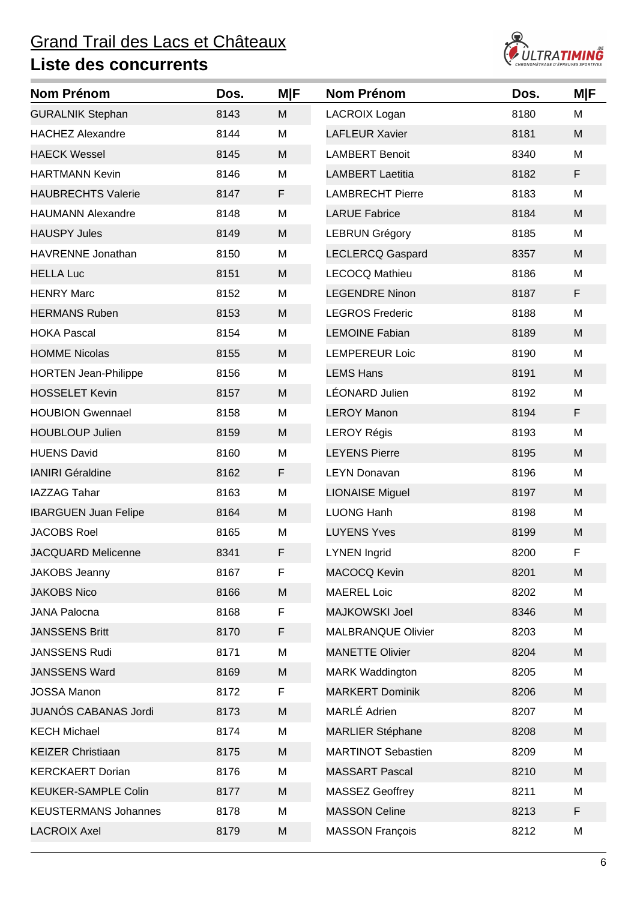

| <b>Nom Prénom</b>           | Dos. | <b>MIF</b> | <b>Nom Prénom</b>         | Dos. | <b>MIF</b> |
|-----------------------------|------|------------|---------------------------|------|------------|
| <b>GURALNIK Stephan</b>     | 8143 | M          | <b>LACROIX Logan</b>      | 8180 | M          |
| <b>HACHEZ Alexandre</b>     | 8144 | M          | <b>LAFLEUR Xavier</b>     | 8181 | M          |
| <b>HAECK Wessel</b>         | 8145 | M          | <b>LAMBERT Benoit</b>     | 8340 | M          |
| <b>HARTMANN Kevin</b>       | 8146 | M          | <b>LAMBERT Laetitia</b>   | 8182 | F          |
| <b>HAUBRECHTS Valerie</b>   | 8147 | F          | <b>LAMBRECHT Pierre</b>   | 8183 | M          |
| <b>HAUMANN Alexandre</b>    | 8148 | M          | <b>LARUE Fabrice</b>      | 8184 | M          |
| <b>HAUSPY Jules</b>         | 8149 | M          | <b>LEBRUN Grégory</b>     | 8185 | M          |
| HAVRENNE Jonathan           | 8150 | M          | <b>LECLERCQ Gaspard</b>   | 8357 | M          |
| <b>HELLA Luc</b>            | 8151 | M          | <b>LECOCQ Mathieu</b>     | 8186 | M          |
| <b>HENRY Marc</b>           | 8152 | M          | <b>LEGENDRE Ninon</b>     | 8187 | F          |
| <b>HERMANS Ruben</b>        | 8153 | M          | <b>LEGROS Frederic</b>    | 8188 | M          |
| <b>HOKA Pascal</b>          | 8154 | M          | <b>LEMOINE Fabian</b>     | 8189 | M          |
| <b>HOMME Nicolas</b>        | 8155 | M          | <b>LEMPEREUR Loic</b>     | 8190 | M          |
| <b>HORTEN Jean-Philippe</b> | 8156 | M          | <b>LEMS Hans</b>          | 8191 | M          |
| <b>HOSSELET Kevin</b>       | 8157 | M          | LÉONARD Julien            | 8192 | M          |
| <b>HOUBION Gwennael</b>     | 8158 | M          | <b>LEROY Manon</b>        | 8194 | F          |
| <b>HOUBLOUP Julien</b>      | 8159 | M          | <b>LEROY Régis</b>        | 8193 | M          |
| <b>HUENS David</b>          | 8160 | M          | <b>LEYENS Pierre</b>      | 8195 | M          |
| <b>IANIRI Géraldine</b>     | 8162 | F          | <b>LEYN Donavan</b>       | 8196 | M          |
| <b>IAZZAG Tahar</b>         | 8163 | M          | <b>LIONAISE Miguel</b>    | 8197 | M          |
| <b>IBARGUEN Juan Felipe</b> | 8164 | M          | <b>LUONG Hanh</b>         | 8198 | M          |
| <b>JACOBS Roel</b>          | 8165 | M          | <b>LUYENS Yves</b>        | 8199 | M          |
| <b>JACQUARD Melicenne</b>   | 8341 | F          | <b>LYNEN Ingrid</b>       | 8200 | F          |
| <b>JAKOBS Jeanny</b>        | 8167 | F          | <b>MACOCQ Kevin</b>       | 8201 | M          |
| <b>JAKOBS Nico</b>          | 8166 | M          | <b>MAEREL Loic</b>        | 8202 | M          |
| <b>JANA Palocna</b>         | 8168 | F          | <b>MAJKOWSKI Joel</b>     | 8346 | M          |
| <b>JANSSENS Britt</b>       | 8170 | F          | <b>MALBRANQUE Olivier</b> | 8203 | M          |
| <b>JANSSENS Rudi</b>        | 8171 | M          | <b>MANETTE Olivier</b>    | 8204 | M          |
| <b>JANSSENS Ward</b>        | 8169 | M          | <b>MARK Waddington</b>    | 8205 | M          |
| <b>JOSSA Manon</b>          | 8172 | F          | <b>MARKERT Dominik</b>    | 8206 | M          |
| <b>JUANÓS CABANAS Jordi</b> | 8173 | M          | MARLÉ Adrien              | 8207 | M          |
| <b>KECH Michael</b>         | 8174 | M          | <b>MARLIER Stéphane</b>   | 8208 | M          |
| <b>KEIZER Christiaan</b>    | 8175 | M          | <b>MARTINOT Sebastien</b> | 8209 | M          |
| <b>KERCKAERT Dorian</b>     | 8176 | M          | <b>MASSART Pascal</b>     | 8210 | M          |
| <b>KEUKER-SAMPLE Colin</b>  | 8177 | M          | MASSEZ Geoffrey           | 8211 | M          |
| <b>KEUSTERMANS Johannes</b> | 8178 | M          | <b>MASSON Celine</b>      | 8213 | F          |
| <b>LACROIX Axel</b>         | 8179 | M          | <b>MASSON François</b>    | 8212 | M          |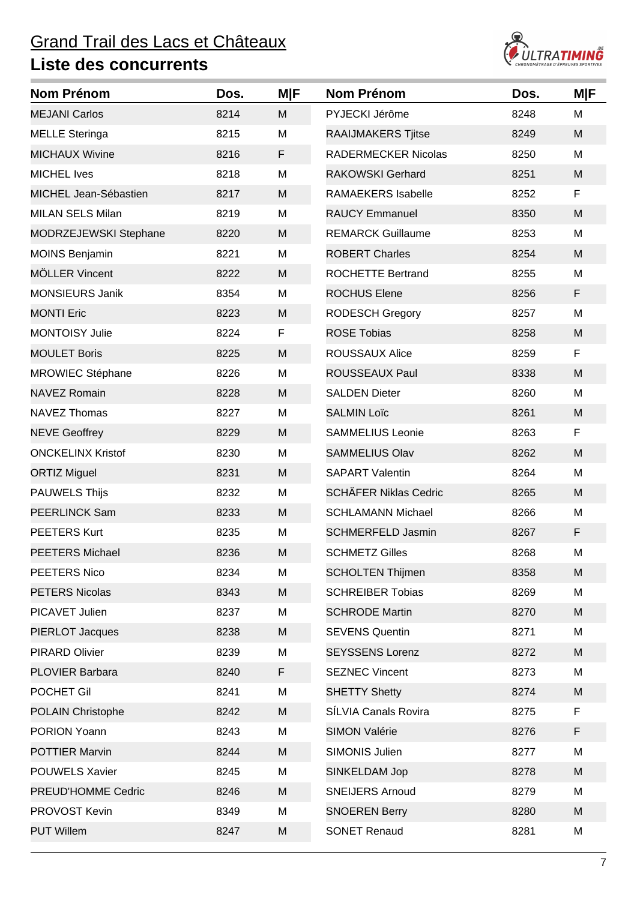

| Nom Prénom               | Dos. | <b>M F</b> | <b>Nom Prénom</b>            | Dos. | M F |
|--------------------------|------|------------|------------------------------|------|-----|
| <b>MEJANI Carlos</b>     | 8214 | M          | PYJECKI Jérôme               | 8248 | M   |
| <b>MELLE Steringa</b>    | 8215 | M          | RAAIJMAKERS Tjitse           | 8249 | M   |
| <b>MICHAUX Wivine</b>    | 8216 | F          | <b>RADERMECKER Nicolas</b>   | 8250 | M   |
| <b>MICHEL Ives</b>       | 8218 | M          | <b>RAKOWSKI Gerhard</b>      | 8251 | M   |
| MICHEL Jean-Sébastien    | 8217 | M          | <b>RAMAEKERS Isabelle</b>    | 8252 | F.  |
| <b>MILAN SELS Milan</b>  | 8219 | M          | <b>RAUCY Emmanuel</b>        | 8350 | M   |
| MODRZEJEWSKI Stephane    | 8220 | M          | <b>REMARCK Guillaume</b>     | 8253 | M   |
| <b>MOINS Benjamin</b>    | 8221 | M          | <b>ROBERT Charles</b>        | 8254 | M   |
| <b>MÖLLER Vincent</b>    | 8222 | M          | <b>ROCHETTE Bertrand</b>     | 8255 | M   |
| <b>MONSIEURS Janik</b>   | 8354 | M          | <b>ROCHUS Elene</b>          | 8256 | F   |
| <b>MONTI Eric</b>        | 8223 | M          | <b>RODESCH Gregory</b>       | 8257 | M   |
| <b>MONTOISY Julie</b>    | 8224 | F          | <b>ROSE Tobias</b>           | 8258 | M   |
| <b>MOULET Boris</b>      | 8225 | M          | ROUSSAUX Alice               | 8259 | F   |
| <b>MROWIEC Stéphane</b>  | 8226 | M          | ROUSSEAUX Paul               | 8338 | M   |
| <b>NAVEZ Romain</b>      | 8228 | M          | <b>SALDEN Dieter</b>         | 8260 | M   |
| <b>NAVEZ Thomas</b>      | 8227 | M          | <b>SALMIN Loïc</b>           | 8261 | M   |
| <b>NEVE Geoffrey</b>     | 8229 | M          | <b>SAMMELIUS Leonie</b>      | 8263 | F   |
| <b>ONCKELINX Kristof</b> | 8230 | M          | <b>SAMMELIUS Olav</b>        | 8262 | M   |
| <b>ORTIZ Miguel</b>      | 8231 | M          | <b>SAPART Valentin</b>       | 8264 | M   |
| <b>PAUWELS Thijs</b>     | 8232 | M          | <b>SCHÄFER Niklas Cedric</b> | 8265 | M   |
| <b>PEERLINCK Sam</b>     | 8233 | M          | <b>SCHLAMANN Michael</b>     | 8266 | M   |
| <b>PEETERS Kurt</b>      | 8235 | M          | <b>SCHMERFELD Jasmin</b>     | 8267 | F   |
| <b>PEETERS Michael</b>   | 8236 | M          | <b>SCHMETZ Gilles</b>        | 8268 | M   |
| PEETERS Nico             | 8234 | M          | <b>SCHOLTEN Thijmen</b>      | 8358 | M   |
| <b>PETERS Nicolas</b>    | 8343 | M          | <b>SCHREIBER Tobias</b>      | 8269 | M   |
| PICAVET Julien           | 8237 | M          | <b>SCHRODE Martin</b>        | 8270 | M   |
| <b>PIERLOT Jacques</b>   | 8238 | M          | <b>SEVENS Quentin</b>        | 8271 | M   |
| PIRARD Olivier           | 8239 | M          | <b>SEYSSENS Lorenz</b>       | 8272 | M   |
| <b>PLOVIER Barbara</b>   | 8240 | F          | <b>SEZNEC Vincent</b>        | 8273 | M   |
| POCHET Gil               | 8241 | M          | <b>SHETTY Shetty</b>         | 8274 | M   |
| <b>POLAIN Christophe</b> | 8242 | M          | SÍLVIA Canals Rovira         | 8275 | F   |
| PORION Yoann             | 8243 | M          | <b>SIMON Valérie</b>         | 8276 | F   |
| <b>POTTIER Marvin</b>    | 8244 | M          | SIMONIS Julien               | 8277 | M   |
| <b>POUWELS Xavier</b>    | 8245 | M          | SINKELDAM Jop                | 8278 | M   |
| PREUD'HOMME Cedric       | 8246 | M          | <b>SNEIJERS Arnoud</b>       | 8279 | M   |
| PROVOST Kevin            | 8349 | M          | <b>SNOEREN Berry</b>         | 8280 | M   |
| <b>PUT Willem</b>        | 8247 | M          | <b>SONET Renaud</b>          | 8281 | M   |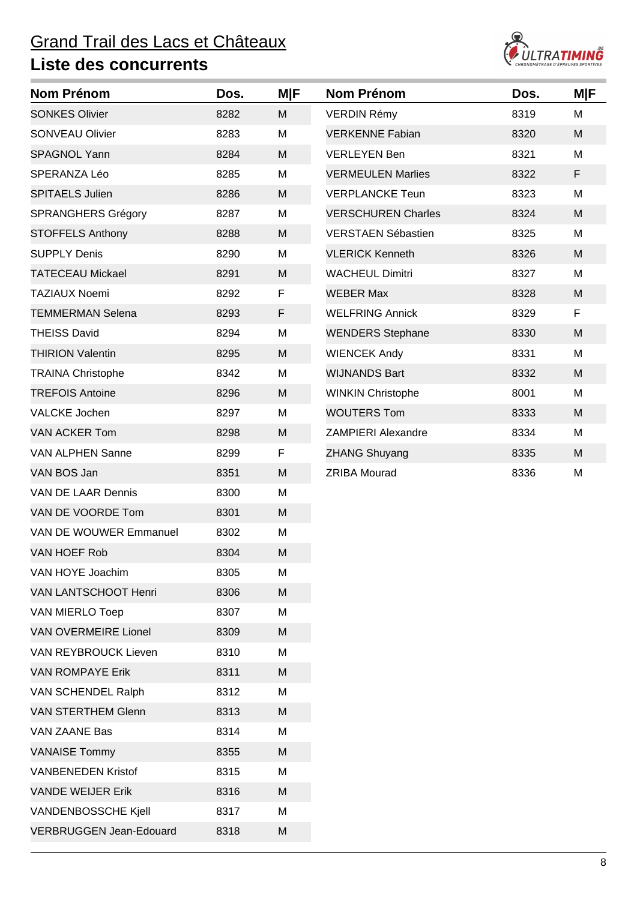

| <b>Nom Prénom</b>              | Dos. | M F | <b>Nom Prénom</b>         | Dos. | <b>M F</b> |
|--------------------------------|------|-----|---------------------------|------|------------|
| <b>SONKES Olivier</b>          | 8282 | M   | <b>VERDIN Rémy</b>        | 8319 | M          |
| <b>SONVEAU Olivier</b>         | 8283 | M   | <b>VERKENNE Fabian</b>    | 8320 | M          |
| <b>SPAGNOL Yann</b>            | 8284 | M   | <b>VERLEYEN Ben</b>       | 8321 | M          |
| SPERANZA Léo                   | 8285 | M   | <b>VERMEULEN Marlies</b>  | 8322 | F          |
| <b>SPITAELS Julien</b>         | 8286 | M   | <b>VERPLANCKE Teun</b>    | 8323 | M          |
| <b>SPRANGHERS Grégory</b>      | 8287 | M   | <b>VERSCHUREN Charles</b> | 8324 | M          |
| <b>STOFFELS Anthony</b>        | 8288 | M   | <b>VERSTAEN Sébastien</b> | 8325 | M          |
| <b>SUPPLY Denis</b>            | 8290 | M   | <b>VLERICK Kenneth</b>    | 8326 | M          |
| <b>TATECEAU Mickael</b>        | 8291 | M   | <b>WACHEUL Dimitri</b>    | 8327 | M          |
| <b>TAZIAUX Noemi</b>           | 8292 | F   | <b>WEBER Max</b>          | 8328 | M          |
| <b>TEMMERMAN Selena</b>        | 8293 | F   | <b>WELFRING Annick</b>    | 8329 | F          |
| <b>THEISS David</b>            | 8294 | M   | <b>WENDERS Stephane</b>   | 8330 | M          |
| <b>THIRION Valentin</b>        | 8295 | M   | <b>WIENCEK Andy</b>       | 8331 | M          |
| <b>TRAINA Christophe</b>       | 8342 | M   | <b>WIJNANDS Bart</b>      | 8332 | M          |
| <b>TREFOIS Antoine</b>         | 8296 | M   | <b>WINKIN Christophe</b>  | 8001 | M          |
| <b>VALCKE Jochen</b>           | 8297 | M   | <b>WOUTERS Tom</b>        | 8333 | M          |
| <b>VAN ACKER Tom</b>           | 8298 | M   | <b>ZAMPIERI Alexandre</b> | 8334 | M          |
| <b>VAN ALPHEN Sanne</b>        | 8299 | F   | <b>ZHANG Shuyang</b>      | 8335 | M          |
| VAN BOS Jan                    | 8351 | M   | <b>ZRIBA Mourad</b>       | 8336 | M          |
| VAN DE LAAR Dennis             | 8300 | M   |                           |      |            |
| VAN DE VOORDE Tom              | 8301 | M   |                           |      |            |
| VAN DE WOUWER Emmanuel         | 8302 | M   |                           |      |            |
| <b>VAN HOEF Rob</b>            | 8304 | M   |                           |      |            |
| VAN HOYE Joachim               | 8305 | M   |                           |      |            |
| VAN LANTSCHOOT Henri           | 8306 | M   |                           |      |            |
| <b>VAN MIERLO Toep</b>         | 8307 | M   |                           |      |            |
| <b>VAN OVERMEIRE Lionel</b>    | 8309 | M   |                           |      |            |
| <b>VAN REYBROUCK Lieven</b>    | 8310 | M   |                           |      |            |
| <b>VAN ROMPAYE Erik</b>        | 8311 | M   |                           |      |            |
| VAN SCHENDEL Ralph             | 8312 | M   |                           |      |            |
| <b>VAN STERTHEM Glenn</b>      | 8313 | M   |                           |      |            |
| VAN ZAANE Bas                  | 8314 | M   |                           |      |            |
| <b>VANAISE Tommy</b>           | 8355 | M   |                           |      |            |
| <b>VANBENEDEN Kristof</b>      | 8315 | M   |                           |      |            |
| <b>VANDE WEIJER Erik</b>       | 8316 | M   |                           |      |            |
| VANDENBOSSCHE Kjell            | 8317 | M   |                           |      |            |
| <b>VERBRUGGEN Jean-Edouard</b> | 8318 | M   |                           |      |            |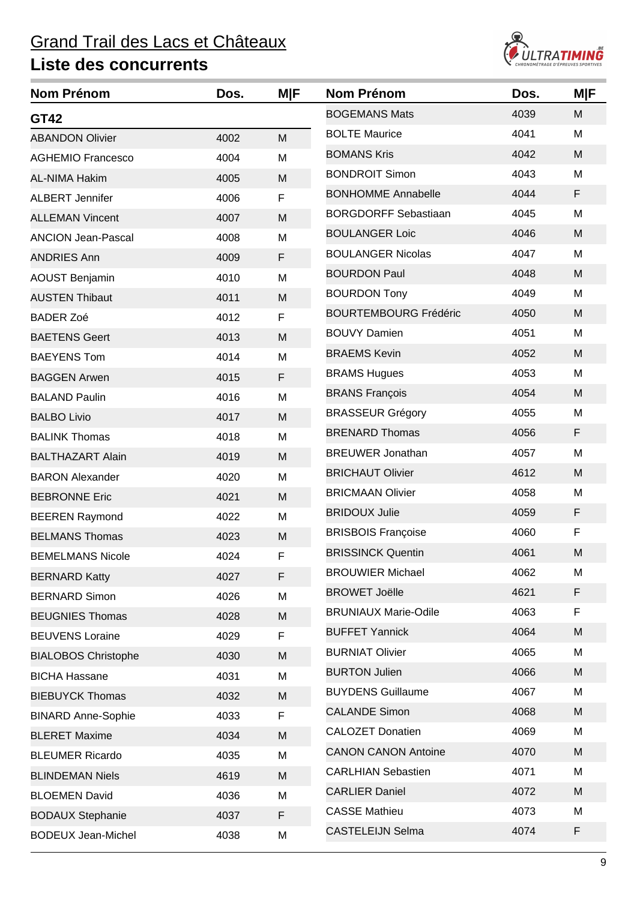

| Nom Prénom                 | Dos. | M F | <b>Nom Prénom</b>            | Dos. | <b>M F</b> |
|----------------------------|------|-----|------------------------------|------|------------|
| GT42                       |      |     | <b>BOGEMANS Mats</b>         | 4039 | M          |
| <b>ABANDON Olivier</b>     | 4002 | M   | <b>BOLTE Maurice</b>         | 4041 | M          |
| <b>AGHEMIO Francesco</b>   | 4004 | M   | <b>BOMANS Kris</b>           | 4042 | M          |
| <b>AL-NIMA Hakim</b>       | 4005 | M   | <b>BONDROIT Simon</b>        | 4043 | М          |
| <b>ALBERT Jennifer</b>     | 4006 | F   | <b>BONHOMME Annabelle</b>    | 4044 | F          |
| <b>ALLEMAN Vincent</b>     | 4007 | M   | <b>BORGDORFF Sebastiaan</b>  | 4045 | M          |
| <b>ANCION Jean-Pascal</b>  | 4008 | M   | <b>BOULANGER Loic</b>        | 4046 | M          |
| <b>ANDRIES Ann</b>         | 4009 | F   | <b>BOULANGER Nicolas</b>     | 4047 | M          |
| <b>AOUST Benjamin</b>      | 4010 | M   | <b>BOURDON Paul</b>          | 4048 | M          |
| <b>AUSTEN Thibaut</b>      | 4011 | M   | <b>BOURDON Tony</b>          | 4049 | M          |
| <b>BADER Zoé</b>           | 4012 | F   | <b>BOURTEMBOURG Frédéric</b> | 4050 | M          |
| <b>BAETENS Geert</b>       | 4013 | M   | <b>BOUVY Damien</b>          | 4051 | M          |
| <b>BAEYENS Tom</b>         | 4014 | M   | <b>BRAEMS Kevin</b>          | 4052 | M          |
| <b>BAGGEN Arwen</b>        | 4015 | F   | <b>BRAMS Hugues</b>          | 4053 | M          |
| <b>BALAND Paulin</b>       | 4016 | M   | <b>BRANS François</b>        | 4054 | M          |
| <b>BALBO Livio</b>         | 4017 | M   | <b>BRASSEUR Grégory</b>      | 4055 | M          |
| <b>BALINK Thomas</b>       | 4018 | M   | <b>BRENARD Thomas</b>        | 4056 | F          |
| <b>BALTHAZART Alain</b>    | 4019 | M   | <b>BREUWER Jonathan</b>      | 4057 | M          |
| <b>BARON Alexander</b>     | 4020 | M   | <b>BRICHAUT Olivier</b>      | 4612 | M          |
| <b>BEBRONNE Eric</b>       | 4021 | M   | <b>BRICMAAN Olivier</b>      | 4058 | M          |
| <b>BEEREN Raymond</b>      | 4022 | M   | <b>BRIDOUX Julie</b>         | 4059 | F          |
| <b>BELMANS Thomas</b>      | 4023 | M   | <b>BRISBOIS Françoise</b>    | 4060 | F          |
| <b>BEMELMANS Nicole</b>    | 4024 | F   | <b>BRISSINCK Quentin</b>     | 4061 | M          |
| <b>BERNARD Katty</b>       | 4027 | F   | <b>BROUWIER Michael</b>      | 4062 | M          |
| <b>BERNARD Simon</b>       | 4026 | M   | <b>BROWET Joëlle</b>         | 4621 | F          |
| <b>BEUGNIES Thomas</b>     | 4028 | M   | <b>BRUNIAUX Marie-Odile</b>  | 4063 | F          |
| <b>BEUVENS Loraine</b>     | 4029 | F.  | <b>BUFFET Yannick</b>        | 4064 | M          |
| <b>BIALOBOS Christophe</b> | 4030 | M   | <b>BURNIAT Olivier</b>       | 4065 | M          |
| <b>BICHA Hassane</b>       | 4031 | M   | <b>BURTON Julien</b>         | 4066 | M          |
| <b>BIEBUYCK Thomas</b>     | 4032 | M   | <b>BUYDENS Guillaume</b>     | 4067 | M          |
| <b>BINARD Anne-Sophie</b>  | 4033 | F   | <b>CALANDE Simon</b>         | 4068 | M          |
| <b>BLERET Maxime</b>       | 4034 | M   | <b>CALOZET Donatien</b>      | 4069 | M          |
| <b>BLEUMER Ricardo</b>     | 4035 | M   | <b>CANON CANON Antoine</b>   | 4070 | M          |
| <b>BLINDEMAN Niels</b>     | 4619 | M   | <b>CARLHIAN Sebastien</b>    | 4071 | M          |
| <b>BLOEMEN David</b>       | 4036 | M   | <b>CARLIER Daniel</b>        | 4072 | M          |
| <b>BODAUX Stephanie</b>    | 4037 | F   | <b>CASSE Mathieu</b>         | 4073 | M          |
| <b>BODEUX Jean-Michel</b>  | 4038 | M   | <b>CASTELEIJN Selma</b>      | 4074 | F          |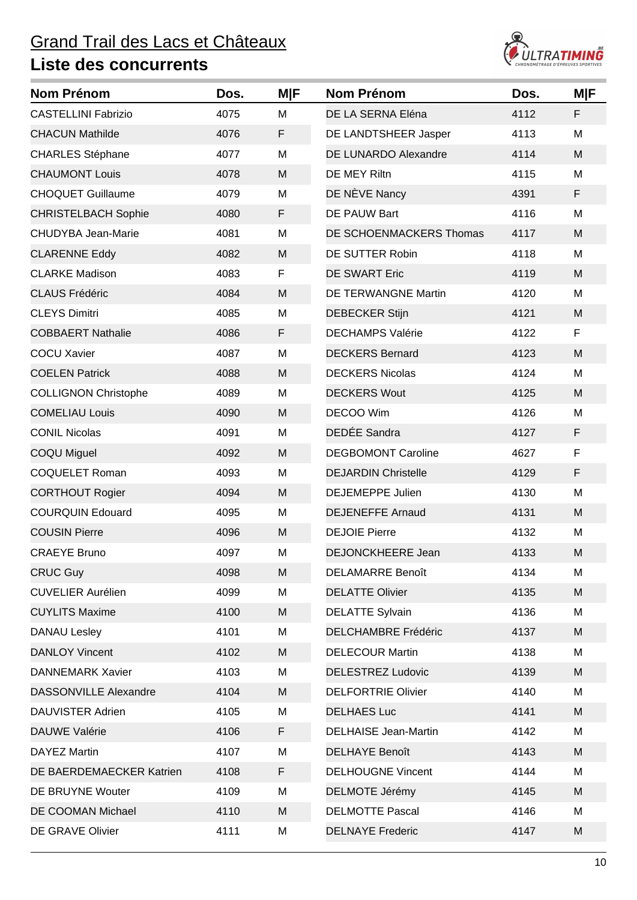

| <b>Nom Prénom</b>            | Dos. | <b>M F</b> | <b>Nom Prénom</b>           | Dos. | <b>M F</b> |
|------------------------------|------|------------|-----------------------------|------|------------|
| <b>CASTELLINI Fabrizio</b>   | 4075 | M          | DE LA SERNA Eléna           | 4112 | F          |
| <b>CHACUN Mathilde</b>       | 4076 | F          | DE LANDTSHEER Jasper        | 4113 | M          |
| <b>CHARLES Stéphane</b>      | 4077 | M          | <b>DE LUNARDO Alexandre</b> | 4114 | M          |
| <b>CHAUMONT Louis</b>        | 4078 | M          | DE MEY Riltn                | 4115 | M          |
| <b>CHOQUET Guillaume</b>     | 4079 | M          | DE NÈVE Nancy               | 4391 | F          |
| <b>CHRISTELBACH Sophie</b>   | 4080 | F          | DE PAUW Bart                | 4116 | M          |
| <b>CHUDYBA Jean-Marie</b>    | 4081 | M          | DE SCHOENMACKERS Thomas     | 4117 | M          |
| <b>CLARENNE Eddy</b>         | 4082 | M          | DE SUTTER Robin             | 4118 | M          |
| <b>CLARKE Madison</b>        | 4083 | F          | <b>DE SWART Eric</b>        | 4119 | M          |
| <b>CLAUS Frédéric</b>        | 4084 | M          | <b>DE TERWANGNE Martin</b>  | 4120 | M          |
| <b>CLEYS Dimitri</b>         | 4085 | M          | <b>DEBECKER Stijn</b>       | 4121 | M          |
| <b>COBBAERT Nathalie</b>     | 4086 | F          | <b>DECHAMPS Valérie</b>     | 4122 | F          |
| <b>COCU Xavier</b>           | 4087 | M          | <b>DECKERS Bernard</b>      | 4123 | M          |
| <b>COELEN Patrick</b>        | 4088 | M          | <b>DECKERS Nicolas</b>      | 4124 | M          |
| <b>COLLIGNON Christophe</b>  | 4089 | M          | <b>DECKERS Wout</b>         | 4125 | M          |
| <b>COMELIAU Louis</b>        | 4090 | M          | DECOO Wim                   | 4126 | M          |
| <b>CONIL Nicolas</b>         | 4091 | M          | DEDÉE Sandra                | 4127 | F          |
| COQU Miguel                  | 4092 | M          | <b>DEGBOMONT Caroline</b>   | 4627 | F          |
| <b>COQUELET Roman</b>        | 4093 | M          | <b>DEJARDIN Christelle</b>  | 4129 | F          |
| <b>CORTHOUT Rogier</b>       | 4094 | M          | <b>DEJEMEPPE Julien</b>     | 4130 | M          |
| <b>COURQUIN Edouard</b>      | 4095 | M          | <b>DEJENEFFE Arnaud</b>     | 4131 | M          |
| <b>COUSIN Pierre</b>         | 4096 | M          | <b>DEJOIE Pierre</b>        | 4132 | M          |
| <b>CRAEYE Bruno</b>          | 4097 | M          | DEJONCKHEERE Jean           | 4133 | M          |
| <b>CRUC Guy</b>              | 4098 | M          | <b>DELAMARRE Benoît</b>     | 4134 | M          |
| <b>CUVELIER Aurélien</b>     | 4099 | M          | <b>DELATTE Olivier</b>      | 4135 | M          |
| <b>CUYLITS Maxime</b>        | 4100 | M          | <b>DELATTE Sylvain</b>      | 4136 | M          |
| DANAU Lesley                 | 4101 | M          | <b>DELCHAMBRE Frédéric</b>  | 4137 | M          |
| <b>DANLOY Vincent</b>        | 4102 | M          | <b>DELECOUR Martin</b>      | 4138 | M          |
| <b>DANNEMARK Xavier</b>      | 4103 | M          | <b>DELESTREZ Ludovic</b>    | 4139 | M          |
| <b>DASSONVILLE Alexandre</b> | 4104 | M          | <b>DELFORTRIE Olivier</b>   | 4140 | M          |
| <b>DAUVISTER Adrien</b>      | 4105 | M          | <b>DELHAES Luc</b>          | 4141 | M          |
| <b>DAUWE Valérie</b>         | 4106 | F          | <b>DELHAISE Jean-Martin</b> | 4142 | M          |
| DAYEZ Martin                 | 4107 | M          | <b>DELHAYE Benoît</b>       | 4143 | M          |
| DE BAERDEMAECKER Katrien     | 4108 | F.         | <b>DELHOUGNE Vincent</b>    | 4144 | M          |
| DE BRUYNE Wouter             | 4109 | M          | DELMOTE Jérémy              | 4145 | M          |
| DE COOMAN Michael            | 4110 | M          | <b>DELMOTTE Pascal</b>      | 4146 | M          |
| DE GRAVE Olivier             | 4111 | M          | <b>DELNAYE Frederic</b>     | 4147 | M          |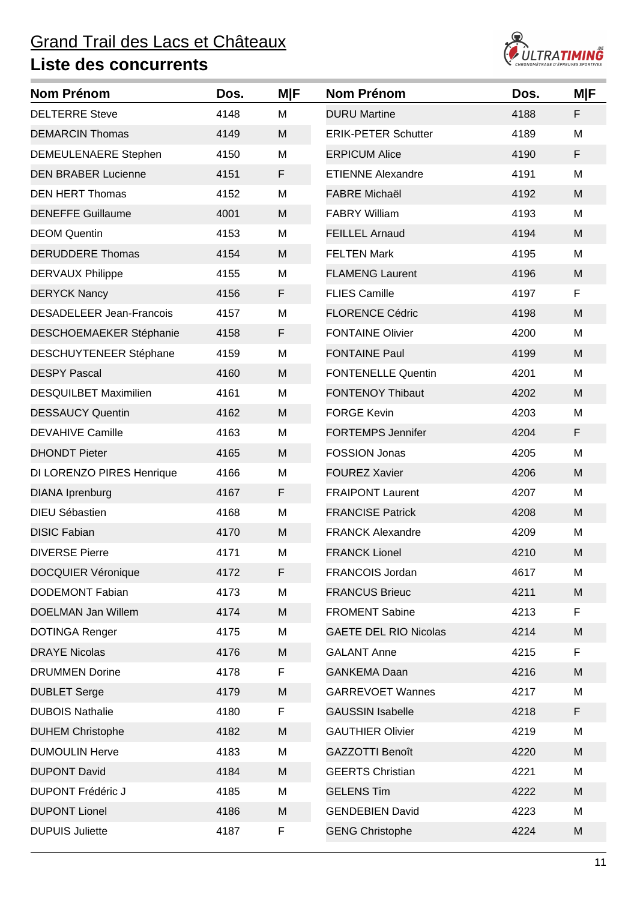

| Nom Prénom                      | Dos. | <b>M F</b> | <b>Nom Prénom</b>            | Dos. | <b>M F</b> |
|---------------------------------|------|------------|------------------------------|------|------------|
| <b>DELTERRE Steve</b>           | 4148 | M          | <b>DURU Martine</b>          | 4188 | F          |
| <b>DEMARCIN Thomas</b>          | 4149 | M          | <b>ERIK-PETER Schutter</b>   | 4189 | M          |
| <b>DEMEULENAERE Stephen</b>     | 4150 | M          | <b>ERPICUM Alice</b>         | 4190 | F          |
| <b>DEN BRABER Lucienne</b>      | 4151 | F.         | <b>ETIENNE Alexandre</b>     | 4191 | M          |
| <b>DEN HERT Thomas</b>          | 4152 | M          | <b>FABRE Michaël</b>         | 4192 | M          |
| <b>DENEFFE Guillaume</b>        | 4001 | M          | <b>FABRY William</b>         | 4193 | M          |
| <b>DEOM</b> Quentin             | 4153 | M          | <b>FEILLEL Arnaud</b>        | 4194 | M          |
| <b>DERUDDERE Thomas</b>         | 4154 | M          | <b>FELTEN Mark</b>           | 4195 | M          |
| <b>DERVAUX Philippe</b>         | 4155 | M          | <b>FLAMENG Laurent</b>       | 4196 | M          |
| <b>DERYCK Nancy</b>             | 4156 | F          | <b>FLIES Camille</b>         | 4197 | F          |
| <b>DESADELEER Jean-Francois</b> | 4157 | M          | <b>FLORENCE Cédric</b>       | 4198 | M          |
| <b>DESCHOEMAEKER Stéphanie</b>  | 4158 | F          | <b>FONTAINE Olivier</b>      | 4200 | M          |
| DESCHUYTENEER Stéphane          | 4159 | M          | <b>FONTAINE Paul</b>         | 4199 | M          |
| <b>DESPY Pascal</b>             | 4160 | M          | <b>FONTENELLE Quentin</b>    | 4201 | M          |
| <b>DESQUILBET Maximilien</b>    | 4161 | M          | <b>FONTENOY Thibaut</b>      | 4202 | M          |
| <b>DESSAUCY Quentin</b>         | 4162 | M          | <b>FORGE Kevin</b>           | 4203 | M          |
| <b>DEVAHIVE Camille</b>         | 4163 | M          | <b>FORTEMPS Jennifer</b>     | 4204 | F          |
| <b>DHONDT Pieter</b>            | 4165 | M          | <b>FOSSION Jonas</b>         | 4205 | M          |
| DI LORENZO PIRES Henrique       | 4166 | M          | <b>FOUREZ Xavier</b>         | 4206 | M          |
| <b>DIANA</b> Iprenburg          | 4167 | F          | <b>FRAIPONT Laurent</b>      | 4207 | M          |
| <b>DIEU Sébastien</b>           | 4168 | M          | <b>FRANCISE Patrick</b>      | 4208 | M          |
| <b>DISIC Fabian</b>             | 4170 | M          | <b>FRANCK Alexandre</b>      | 4209 | M          |
| <b>DIVERSE Pierre</b>           | 4171 | M          | <b>FRANCK Lionel</b>         | 4210 | M          |
| <b>DOCQUIER Véronique</b>       | 4172 | F          | <b>FRANCOIS Jordan</b>       | 4617 | M          |
| <b>DODEMONT Fabian</b>          | 4173 | M          | <b>FRANCUS Brieuc</b>        | 4211 | M          |
| <b>DOELMAN Jan Willem</b>       | 4174 | M          | <b>FROMENT Sabine</b>        | 4213 | F.         |
| <b>DOTINGA Renger</b>           | 4175 | M          | <b>GAETE DEL RIO Nicolas</b> | 4214 | M          |
| <b>DRAYE Nicolas</b>            | 4176 | M          | <b>GALANT Anne</b>           | 4215 | F          |
| <b>DRUMMEN Dorine</b>           | 4178 | F          | <b>GANKEMA Daan</b>          | 4216 | M          |
| <b>DUBLET Serge</b>             | 4179 | M          | <b>GARREVOET Wannes</b>      | 4217 | M          |
| <b>DUBOIS Nathalie</b>          | 4180 | F          | <b>GAUSSIN Isabelle</b>      | 4218 | F          |
| <b>DUHEM Christophe</b>         | 4182 | M          | <b>GAUTHIER Olivier</b>      | 4219 | M          |
| <b>DUMOULIN Herve</b>           | 4183 | M          | GAZZOTTI Benoît              | 4220 | M          |
| <b>DUPONT David</b>             | 4184 | M          | <b>GEERTS Christian</b>      | 4221 | M          |
| <b>DUPONT Frédéric J</b>        | 4185 | M          | <b>GELENS Tim</b>            | 4222 | M          |
| <b>DUPONT Lionel</b>            | 4186 | M          | <b>GENDEBIEN David</b>       | 4223 | M          |
| <b>DUPUIS Juliette</b>          | 4187 | F          | <b>GENG Christophe</b>       | 4224 | M          |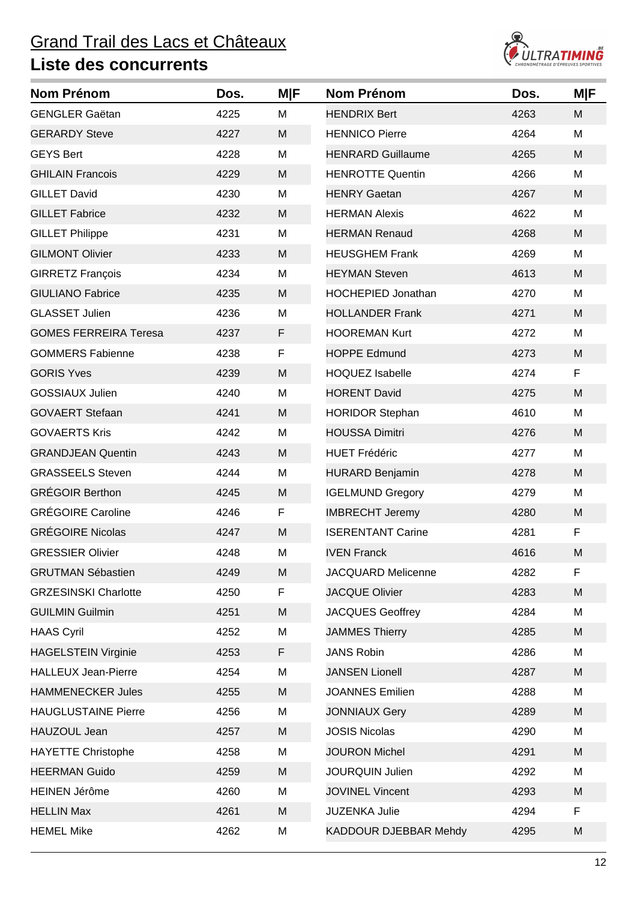

| <b>Nom Prénom</b>            | Dos. | <b>MIF</b> | <b>Nom Prénom</b>         | Dos. | <b>M F</b> |
|------------------------------|------|------------|---------------------------|------|------------|
| <b>GENGLER Gaëtan</b>        | 4225 | M          | <b>HENDRIX Bert</b>       | 4263 | M          |
| <b>GERARDY Steve</b>         | 4227 | M          | <b>HENNICO Pierre</b>     | 4264 | M          |
| <b>GEYS Bert</b>             | 4228 | M          | <b>HENRARD Guillaume</b>  | 4265 | M          |
| <b>GHILAIN Francois</b>      | 4229 | M          | <b>HENROTTE Quentin</b>   | 4266 | M          |
| <b>GILLET David</b>          | 4230 | M          | <b>HENRY Gaetan</b>       | 4267 | M          |
| <b>GILLET Fabrice</b>        | 4232 | M          | <b>HERMAN Alexis</b>      | 4622 | M          |
| <b>GILLET Philippe</b>       | 4231 | M          | <b>HERMAN Renaud</b>      | 4268 | M          |
| <b>GILMONT Olivier</b>       | 4233 | M          | <b>HEUSGHEM Frank</b>     | 4269 | M          |
| <b>GIRRETZ François</b>      | 4234 | M          | <b>HEYMAN Steven</b>      | 4613 | M          |
| <b>GIULIANO Fabrice</b>      | 4235 | M          | <b>HOCHEPIED Jonathan</b> | 4270 | M          |
| <b>GLASSET Julien</b>        | 4236 | M          | <b>HOLLANDER Frank</b>    | 4271 | M          |
| <b>GOMES FERREIRA Teresa</b> | 4237 | F          | <b>HOOREMAN Kurt</b>      | 4272 | M          |
| <b>GOMMERS Fabienne</b>      | 4238 | F          | <b>HOPPE Edmund</b>       | 4273 | M          |
| <b>GORIS Yves</b>            | 4239 | M          | <b>HOQUEZ Isabelle</b>    | 4274 | F.         |
| <b>GOSSIAUX Julien</b>       | 4240 | M          | <b>HORENT David</b>       | 4275 | M          |
| <b>GOVAERT Stefaan</b>       | 4241 | M          | <b>HORIDOR Stephan</b>    | 4610 | M          |
| <b>GOVAERTS Kris</b>         | 4242 | M          | <b>HOUSSA Dimitri</b>     | 4276 | M          |
| <b>GRANDJEAN Quentin</b>     | 4243 | M          | <b>HUET Frédéric</b>      | 4277 | M          |
| <b>GRASSEELS Steven</b>      | 4244 | M          | <b>HURARD Benjamin</b>    | 4278 | M          |
| <b>GRÉGOIR Berthon</b>       | 4245 | M          | <b>IGELMUND Gregory</b>   | 4279 | M          |
| <b>GRÉGOIRE Caroline</b>     | 4246 | F          | <b>IMBRECHT Jeremy</b>    | 4280 | M          |
| <b>GRÉGOIRE Nicolas</b>      | 4247 | M          | <b>ISERENTANT Carine</b>  | 4281 | F          |
| <b>GRESSIER Olivier</b>      | 4248 | M          | <b>IVEN Franck</b>        | 4616 | M          |
| <b>GRUTMAN Sébastien</b>     | 4249 | M          | <b>JACQUARD Melicenne</b> | 4282 | F          |
| <b>GRZESINSKI Charlotte</b>  | 4250 | F          | <b>JACQUE Olivier</b>     | 4283 | M          |
| <b>GUILMIN Guilmin</b>       | 4251 | M          | <b>JACQUES Geoffrey</b>   | 4284 | M          |
| <b>HAAS Cyril</b>            | 4252 | M          | <b>JAMMES Thierry</b>     | 4285 | M          |
| <b>HAGELSTEIN Virginie</b>   | 4253 | F          | <b>JANS Robin</b>         | 4286 | M          |
| <b>HALLEUX Jean-Pierre</b>   | 4254 | M          | <b>JANSEN Lionell</b>     | 4287 | M          |
| <b>HAMMENECKER Jules</b>     | 4255 | M          | <b>JOANNES Emilien</b>    | 4288 | M          |
| <b>HAUGLUSTAINE Pierre</b>   | 4256 | M          | <b>JONNIAUX Gery</b>      | 4289 | M          |
| HAUZOUL Jean                 | 4257 | M          | <b>JOSIS Nicolas</b>      | 4290 | M          |
| <b>HAYETTE Christophe</b>    | 4258 | M          | <b>JOURON Michel</b>      | 4291 | M          |
| <b>HEERMAN Guido</b>         | 4259 | M          | <b>JOURQUIN Julien</b>    | 4292 | M          |
| <b>HEINEN Jérôme</b>         | 4260 | M          | <b>JOVINEL Vincent</b>    | 4293 | M          |
| <b>HELLIN Max</b>            | 4261 | M          | <b>JUZENKA Julie</b>      | 4294 | F.         |
| <b>HEMEL Mike</b>            | 4262 | M          | KADDOUR DJEBBAR Mehdy     | 4295 | M          |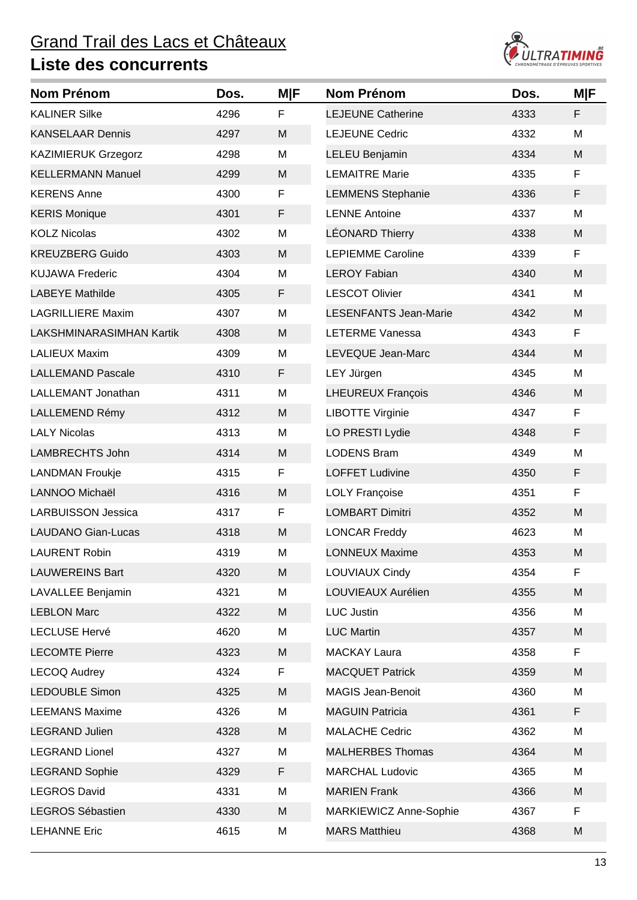

| Nom Prénom                 | Dos. | <b>M F</b> | <b>Nom Prénom</b>            | Dos. | <b>M F</b> |
|----------------------------|------|------------|------------------------------|------|------------|
| <b>KALINER Silke</b>       | 4296 | F          | <b>LEJEUNE Catherine</b>     | 4333 | F          |
| <b>KANSELAAR Dennis</b>    | 4297 | M          | <b>LEJEUNE Cedric</b>        | 4332 | M          |
| <b>KAZIMIERUK Grzegorz</b> | 4298 | M          | <b>LELEU Benjamin</b>        | 4334 | M          |
| <b>KELLERMANN Manuel</b>   | 4299 | M          | <b>LEMAITRE Marie</b>        | 4335 | F          |
| <b>KERENS Anne</b>         | 4300 | F          | <b>LEMMENS Stephanie</b>     | 4336 | F          |
| <b>KERIS Monique</b>       | 4301 | F          | <b>LENNE Antoine</b>         | 4337 | M          |
| <b>KOLZ Nicolas</b>        | 4302 | M          | <b>LÉONARD Thierry</b>       | 4338 | M          |
| <b>KREUZBERG Guido</b>     | 4303 | M          | <b>LEPIEMME Caroline</b>     | 4339 | F          |
| <b>KUJAWA Frederic</b>     | 4304 | M          | <b>LEROY Fabian</b>          | 4340 | M          |
| <b>LABEYE Mathilde</b>     | 4305 | F          | <b>LESCOT Olivier</b>        | 4341 | M          |
| <b>LAGRILLIERE Maxim</b>   | 4307 | M          | <b>LESENFANTS Jean-Marie</b> | 4342 | M          |
| LAKSHMINARASIMHAN Kartik   | 4308 | M          | <b>LETERME Vanessa</b>       | 4343 | F          |
| <b>LALIEUX Maxim</b>       | 4309 | M          | LEVEQUE Jean-Marc            | 4344 | M          |
| <b>LALLEMAND Pascale</b>   | 4310 | F.         | LEY Jürgen                   | 4345 | M          |
| LALLEMANT Jonathan         | 4311 | M          | <b>LHEUREUX François</b>     | 4346 | M          |
| LALLEMEND Rémy             | 4312 | M          | <b>LIBOTTE Virginie</b>      | 4347 | F          |
| <b>LALY Nicolas</b>        | 4313 | M          | LO PRESTI Lydie              | 4348 | F          |
| <b>LAMBRECHTS John</b>     | 4314 | M          | <b>LODENS Bram</b>           | 4349 | M          |
| <b>LANDMAN Froukje</b>     | 4315 | F          | <b>LOFFET Ludivine</b>       | 4350 | F          |
| LANNOO Michaël             | 4316 | M          | <b>LOLY Françoise</b>        | 4351 | F          |
| <b>LARBUISSON Jessica</b>  | 4317 | F          | <b>LOMBART Dimitri</b>       | 4352 | M          |
| <b>LAUDANO Gian-Lucas</b>  | 4318 | M          | <b>LONCAR Freddy</b>         | 4623 | M          |
| <b>LAURENT Robin</b>       | 4319 | M          | <b>LONNEUX Maxime</b>        | 4353 | M          |
| <b>LAUWEREINS Bart</b>     | 4320 | M          | LOUVIAUX Cindy               | 4354 | F          |
| LAVALLEE Benjamin          | 4321 | M          | LOUVIEAUX Aurélien           | 4355 | M          |
| <b>LEBLON Marc</b>         | 4322 | M          | <b>LUC Justin</b>            | 4356 | M          |
| <b>LECLUSE Hervé</b>       | 4620 | M          | <b>LUC Martin</b>            | 4357 | M          |
| <b>LECOMTE Pierre</b>      | 4323 | M          | <b>MACKAY Laura</b>          | 4358 | F          |
| <b>LECOQ Audrey</b>        | 4324 | F          | <b>MACQUET Patrick</b>       | 4359 | M          |
| <b>LEDOUBLE Simon</b>      | 4325 | M          | <b>MAGIS Jean-Benoit</b>     | 4360 | M          |
| <b>LEEMANS Maxime</b>      | 4326 | M          | <b>MAGUIN Patricia</b>       | 4361 | F          |
| <b>LEGRAND Julien</b>      | 4328 | M          | <b>MALACHE Cedric</b>        | 4362 | M          |
| <b>LEGRAND Lionel</b>      | 4327 | M          | <b>MALHERBES Thomas</b>      | 4364 | M          |
| <b>LEGRAND Sophie</b>      | 4329 | F          | <b>MARCHAL Ludovic</b>       | 4365 | M          |
| <b>LEGROS David</b>        | 4331 | M          | <b>MARIEN Frank</b>          | 4366 | M          |
| LEGROS Sébastien           | 4330 | M          | MARKIEWICZ Anne-Sophie       | 4367 | F.         |
| <b>LEHANNE Eric</b>        | 4615 | M          | <b>MARS Matthieu</b>         | 4368 | M          |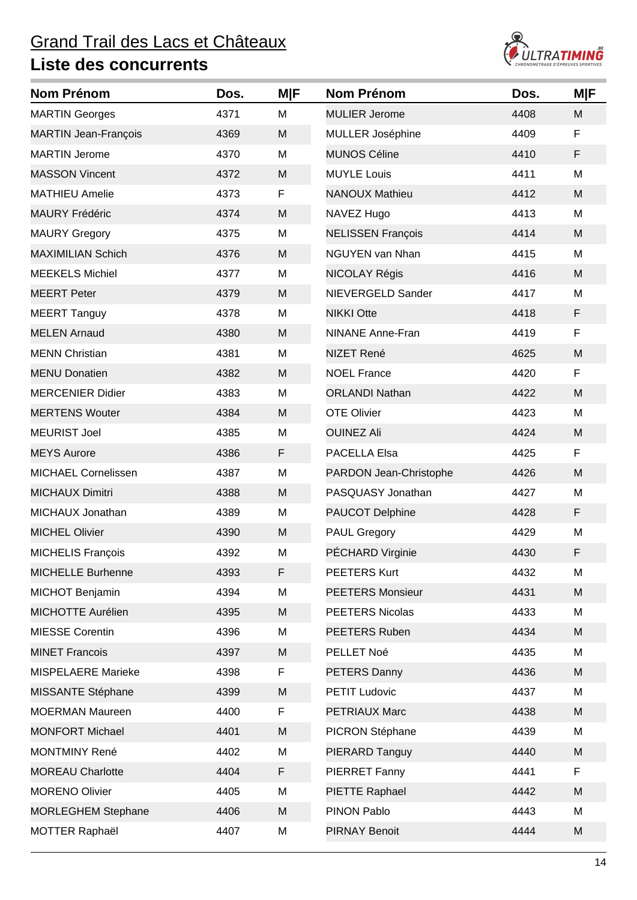

| <b>Nom Prénom</b>           | Dos. | <b>M F</b> | <b>Nom Prénom</b>        | Dos. | <b>MIF</b> |
|-----------------------------|------|------------|--------------------------|------|------------|
| <b>MARTIN Georges</b>       | 4371 | M          | <b>MULIER Jerome</b>     | 4408 | M          |
| <b>MARTIN Jean-François</b> | 4369 | M          | MULLER Joséphine         | 4409 | F          |
| <b>MARTIN Jerome</b>        | 4370 | M          | <b>MUNOS Céline</b>      | 4410 | F          |
| <b>MASSON Vincent</b>       | 4372 | M          | <b>MUYLE Louis</b>       | 4411 | M          |
| <b>MATHIEU Amelie</b>       | 4373 | F          | <b>NANOUX Mathieu</b>    | 4412 | M          |
| <b>MAURY Frédéric</b>       | 4374 | M          | NAVEZ Hugo               | 4413 | M          |
| <b>MAURY Gregory</b>        | 4375 | M          | <b>NELISSEN François</b> | 4414 | M          |
| <b>MAXIMILIAN Schich</b>    | 4376 | M          | <b>NGUYEN van Nhan</b>   | 4415 | M          |
| <b>MEEKELS Michiel</b>      | 4377 | M          | NICOLAY Régis            | 4416 | M          |
| <b>MEERT Peter</b>          | 4379 | M          | NIEVERGELD Sander        | 4417 | M          |
| <b>MEERT Tanguy</b>         | 4378 | M          | <b>NIKKI Otte</b>        | 4418 | F          |
| <b>MELEN Arnaud</b>         | 4380 | M          | <b>NINANE Anne-Fran</b>  | 4419 | F          |
| <b>MENN Christian</b>       | 4381 | M          | NIZET René               | 4625 | M          |
| <b>MENU Donatien</b>        | 4382 | M          | <b>NOEL France</b>       | 4420 | F          |
| <b>MERCENIER Didier</b>     | 4383 | M          | <b>ORLANDI Nathan</b>    | 4422 | M          |
| <b>MERTENS Wouter</b>       | 4384 | M          | <b>OTE Olivier</b>       | 4423 | M          |
| <b>MEURIST Joel</b>         | 4385 | M          | <b>OUINEZ Ali</b>        | 4424 | M          |
| <b>MEYS Aurore</b>          | 4386 | F          | PACELLA Elsa             | 4425 | F          |
| <b>MICHAEL Cornelissen</b>  | 4387 | M          | PARDON Jean-Christophe   | 4426 | M          |
| <b>MICHAUX Dimitri</b>      | 4388 | M          | PASQUASY Jonathan        | 4427 | M          |
| MICHAUX Jonathan            | 4389 | M          | <b>PAUCOT Delphine</b>   | 4428 | F          |
| <b>MICHEL Olivier</b>       | 4390 | M          | <b>PAUL Gregory</b>      | 4429 | M          |
| <b>MICHELIS François</b>    | 4392 | M          | PÉCHARD Virginie         | 4430 | F          |
| <b>MICHELLE Burhenne</b>    | 4393 | F          | PEETERS Kurt             | 4432 | M          |
| <b>MICHOT Benjamin</b>      | 4394 | M          | <b>PEETERS Monsieur</b>  | 4431 | M          |
| MICHOTTE Aurélien           | 4395 | M          | <b>PEETERS Nicolas</b>   | 4433 | M          |
| <b>MIESSE Corentin</b>      | 4396 | M          | PEETERS Ruben            | 4434 | M          |
| <b>MINET Francois</b>       | 4397 | M          | PELLET Noé               | 4435 | M          |
| <b>MISPELAERE Marieke</b>   | 4398 | F          | PETERS Danny             | 4436 | M          |
| MISSANTE Stéphane           | 4399 | M          | <b>PETIT Ludovic</b>     | 4437 | M          |
| <b>MOERMAN Maureen</b>      | 4400 | F          | <b>PETRIAUX Marc</b>     | 4438 | M          |
| <b>MONFORT Michael</b>      | 4401 | M          | PICRON Stéphane          | 4439 | M          |
| <b>MONTMINY René</b>        | 4402 | M          | PIERARD Tanguy           | 4440 | M          |
| <b>MOREAU Charlotte</b>     | 4404 | F          | <b>PIERRET Fanny</b>     | 4441 | F          |
| <b>MORENO Olivier</b>       | 4405 | M          | PIETTE Raphael           | 4442 | M          |
| <b>MORLEGHEM Stephane</b>   | 4406 | M          | PINON Pablo              | 4443 | M          |
| <b>MOTTER Raphaël</b>       | 4407 | M          | <b>PIRNAY Benoit</b>     | 4444 | M          |
|                             |      |            |                          |      |            |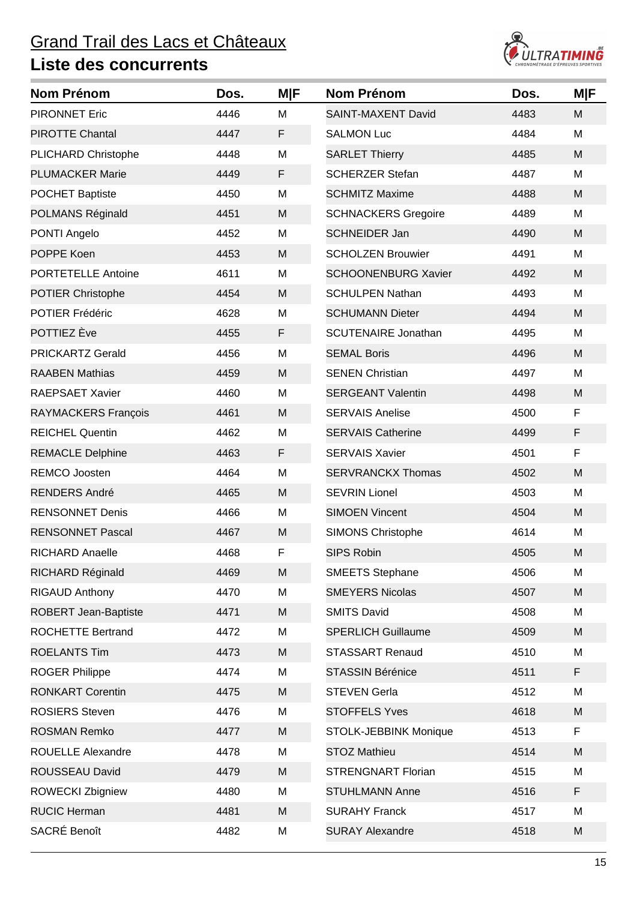

| Nom Prénom                  | Dos. | <b>M F</b> | <b>Nom Prénom</b>          | Dos. | <b>M F</b> |
|-----------------------------|------|------------|----------------------------|------|------------|
| <b>PIRONNET Eric</b>        | 4446 | M          | <b>SAINT-MAXENT David</b>  | 4483 | M          |
| <b>PIROTTE Chantal</b>      | 4447 | F          | <b>SALMON Luc</b>          | 4484 | M          |
| PLICHARD Christophe         | 4448 | M          | <b>SARLET Thierry</b>      | 4485 | M          |
| <b>PLUMACKER Marie</b>      | 4449 | F          | <b>SCHERZER Stefan</b>     | 4487 | M          |
| <b>POCHET Baptiste</b>      | 4450 | M          | <b>SCHMITZ Maxime</b>      | 4488 | M          |
| POLMANS Réginald            | 4451 | M          | <b>SCHNACKERS Gregoire</b> | 4489 | M          |
| PONTI Angelo                | 4452 | M          | <b>SCHNEIDER Jan</b>       | 4490 | M          |
| POPPE Koen                  | 4453 | M          | <b>SCHOLZEN Brouwier</b>   | 4491 | M          |
| PORTETELLE Antoine          | 4611 | M          | <b>SCHOONENBURG Xavier</b> | 4492 | M          |
| <b>POTIER Christophe</b>    | 4454 | M          | <b>SCHULPEN Nathan</b>     | 4493 | M          |
| <b>POTIER Frédéric</b>      | 4628 | M          | <b>SCHUMANN Dieter</b>     | 4494 | M          |
| POTTIEZ Ève                 | 4455 | F          | <b>SCUTENAIRE Jonathan</b> | 4495 | M          |
| <b>PRICKARTZ Gerald</b>     | 4456 | M          | <b>SEMAL Boris</b>         | 4496 | M          |
| <b>RAABEN Mathias</b>       | 4459 | M          | <b>SENEN Christian</b>     | 4497 | M          |
| <b>RAEPSAET Xavier</b>      | 4460 | M          | <b>SERGEANT Valentin</b>   | 4498 | M          |
| RAYMACKERS François         | 4461 | M          | <b>SERVAIS Anelise</b>     | 4500 | F          |
| <b>REICHEL Quentin</b>      | 4462 | M          | <b>SERVAIS Catherine</b>   | 4499 | F          |
| <b>REMACLE Delphine</b>     | 4463 | F          | <b>SERVAIS Xavier</b>      | 4501 | F          |
| <b>REMCO Joosten</b>        | 4464 | M          | <b>SERVRANCKX Thomas</b>   | 4502 | M          |
| <b>RENDERS André</b>        | 4465 | M          | <b>SEVRIN Lionel</b>       | 4503 | M          |
| <b>RENSONNET Denis</b>      | 4466 | M          | <b>SIMOEN Vincent</b>      | 4504 | M          |
| <b>RENSONNET Pascal</b>     | 4467 | M          | <b>SIMONS Christophe</b>   | 4614 | M          |
| RICHARD Anaelle             | 4468 | F          | <b>SIPS Robin</b>          | 4505 | M          |
| RICHARD Réginald            | 4469 | M          | <b>SMEETS Stephane</b>     | 4506 | M          |
| <b>RIGAUD Anthony</b>       | 4470 | M          | <b>SMEYERS Nicolas</b>     | 4507 | M          |
| <b>ROBERT Jean-Baptiste</b> | 4471 | M          | <b>SMITS David</b>         | 4508 | M          |
| <b>ROCHETTE Bertrand</b>    | 4472 | M          | <b>SPERLICH Guillaume</b>  | 4509 | M          |
| <b>ROELANTS Tim</b>         | 4473 | M          | <b>STASSART Renaud</b>     | 4510 | M          |
| <b>ROGER Philippe</b>       | 4474 | M          | <b>STASSIN Bérénice</b>    | 4511 | F          |
| <b>RONKART Corentin</b>     | 4475 | M          | <b>STEVEN Gerla</b>        | 4512 | M          |
| <b>ROSIERS Steven</b>       | 4476 | M          | <b>STOFFELS Yves</b>       | 4618 | M          |
| <b>ROSMAN Remko</b>         | 4477 | M          | STOLK-JEBBINK Monique      | 4513 | F          |
| ROUELLE Alexandre           | 4478 | M          | <b>STOZ Mathieu</b>        | 4514 | M          |
| ROUSSEAU David              | 4479 | M          | <b>STRENGNART Florian</b>  | 4515 | M          |
| <b>ROWECKI Zbigniew</b>     | 4480 | M          | <b>STUHLMANN Anne</b>      | 4516 | F          |
| <b>RUCIC Herman</b>         | 4481 | M          | <b>SURAHY Franck</b>       | 4517 | M          |
| SACRÉ Benoît                | 4482 | M          | <b>SURAY Alexandre</b>     | 4518 | M          |
|                             |      |            |                            |      |            |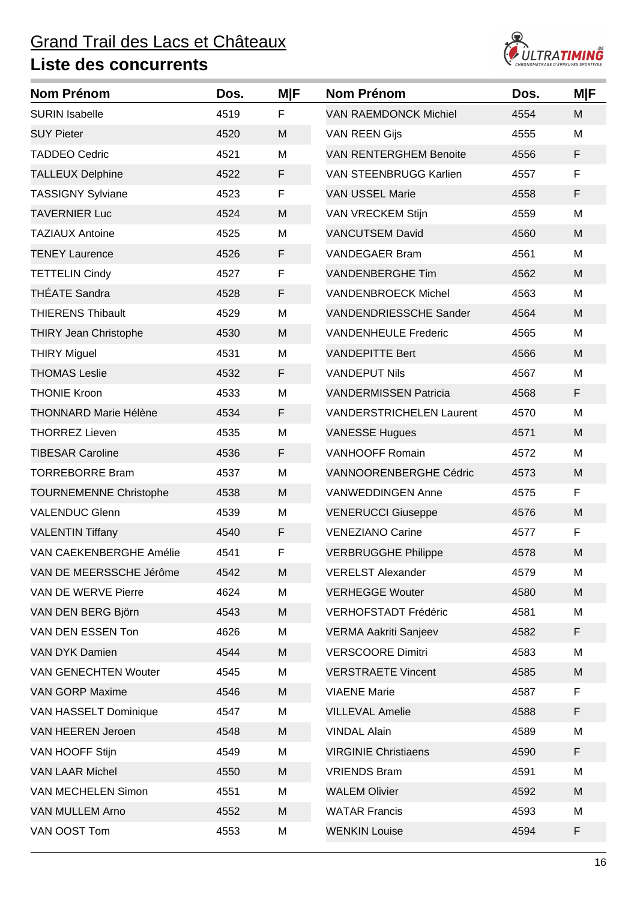

| <b>Nom Prénom</b>             | Dos. | <b>MIF</b> | <b>Nom Prénom</b>               | Dos. | <b>M F</b> |
|-------------------------------|------|------------|---------------------------------|------|------------|
| <b>SURIN Isabelle</b>         | 4519 | F          | <b>VAN RAEMDONCK Michiel</b>    | 4554 | M          |
| <b>SUY Pieter</b>             | 4520 | M          | <b>VAN REEN Gijs</b>            | 4555 | M          |
| <b>TADDEO Cedric</b>          | 4521 | M          | <b>VAN RENTERGHEM Benoite</b>   | 4556 | F          |
| <b>TALLEUX Delphine</b>       | 4522 | F          | <b>VAN STEENBRUGG Karlien</b>   | 4557 | F          |
| <b>TASSIGNY Sylviane</b>      | 4523 | F          | <b>VAN USSEL Marie</b>          | 4558 | F          |
| <b>TAVERNIER Luc</b>          | 4524 | M          | VAN VRECKEM Stijn               | 4559 | M          |
| <b>TAZIAUX Antoine</b>        | 4525 | M          | <b>VANCUTSEM David</b>          | 4560 | M          |
| <b>TENEY Laurence</b>         | 4526 | F          | <b>VANDEGAER Bram</b>           | 4561 | M          |
| <b>TETTELIN Cindy</b>         | 4527 | F          | <b>VANDENBERGHE Tim</b>         | 4562 | M          |
| <b>THÉATE Sandra</b>          | 4528 | F          | <b>VANDENBROECK Michel</b>      | 4563 | M          |
| <b>THIERENS Thibault</b>      | 4529 | M          | <b>VANDENDRIESSCHE Sander</b>   | 4564 | M          |
| <b>THIRY Jean Christophe</b>  | 4530 | M          | <b>VANDENHEULE Frederic</b>     | 4565 | M          |
| <b>THIRY Miguel</b>           | 4531 | M          | <b>VANDEPITTE Bert</b>          | 4566 | M          |
| <b>THOMAS Leslie</b>          | 4532 | F          | <b>VANDEPUT Nils</b>            | 4567 | M          |
| <b>THONIE Kroon</b>           | 4533 | M          | <b>VANDERMISSEN Patricia</b>    | 4568 | F          |
| <b>THONNARD Marie Hélène</b>  | 4534 | F          | <b>VANDERSTRICHELEN Laurent</b> | 4570 | M          |
| <b>THORREZ Lieven</b>         | 4535 | M          | <b>VANESSE Hugues</b>           | 4571 | M          |
| <b>TIBESAR Caroline</b>       | 4536 | F          | <b>VANHOOFF Romain</b>          | 4572 | M          |
| <b>TORREBORRE Bram</b>        | 4537 | M          | VANNOORENBERGHE Cédric          | 4573 | M          |
| <b>TOURNEMENNE Christophe</b> | 4538 | M          | <b>VANWEDDINGEN Anne</b>        | 4575 | F          |
| <b>VALENDUC Glenn</b>         | 4539 | M          | <b>VENERUCCI Giuseppe</b>       | 4576 | M          |
| <b>VALENTIN Tiffany</b>       | 4540 | F          | <b>VENEZIANO Carine</b>         | 4577 | F          |
| VAN CAEKENBERGHE Amélie       | 4541 | F          | <b>VERBRUGGHE Philippe</b>      | 4578 | M          |
| VAN DE MEERSSCHE Jérôme       | 4542 | M          | <b>VERELST Alexander</b>        | 4579 | M          |
| VAN DE WERVE Pierre           | 4624 | M          | <b>VERHEGGE Wouter</b>          | 4580 | M          |
| VAN DEN BERG Björn            | 4543 | M          | <b>VERHOFSTADT Frédéric</b>     | 4581 | M          |
| VAN DEN ESSEN Ton             | 4626 | M          | <b>VERMA Aakriti Sanjeev</b>    | 4582 | F          |
| VAN DYK Damien                | 4544 | M          | <b>VERSCOORE Dimitri</b>        | 4583 | M          |
| <b>VAN GENECHTEN Wouter</b>   | 4545 | M          | <b>VERSTRAETE Vincent</b>       | 4585 | M          |
| <b>VAN GORP Maxime</b>        | 4546 | M          | <b>VIAENE Marie</b>             | 4587 | F          |
| VAN HASSELT Dominique         | 4547 | M          | <b>VILLEVAL Amelie</b>          | 4588 | F          |
| <b>VAN HEEREN Jeroen</b>      | 4548 | M          | <b>VINDAL Alain</b>             | 4589 | M          |
| VAN HOOFF Stijn               | 4549 | M          | <b>VIRGINIE Christiaens</b>     | 4590 | F          |
| <b>VAN LAAR Michel</b>        | 4550 | M          | <b>VRIENDS Bram</b>             | 4591 | M          |
| VAN MECHELEN Simon            | 4551 | M          | <b>WALEM Olivier</b>            | 4592 | M          |
| VAN MULLEM Arno               | 4552 | M          | <b>WATAR Francis</b>            | 4593 | M          |
| VAN OOST Tom                  | 4553 | M          | <b>WENKIN Louise</b>            | 4594 | F          |
|                               |      |            |                                 |      |            |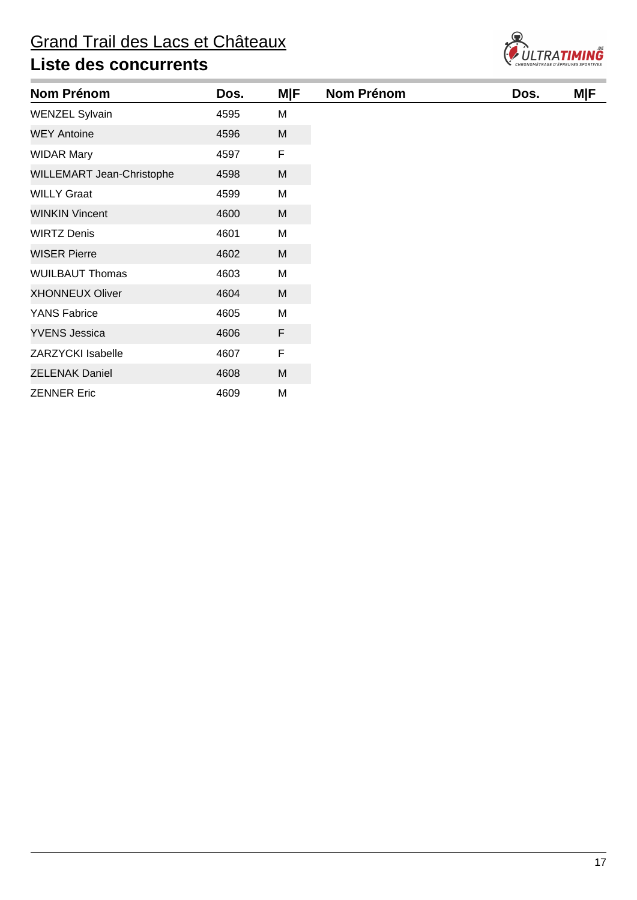

| <b>Nom Prénom</b>         | Dos. | <b>M F</b>  | <b>Nom Prénom</b> | Dos. | <b>M F</b> |
|---------------------------|------|-------------|-------------------|------|------------|
| <b>WENZEL Sylvain</b>     | 4595 | M           |                   |      |            |
| <b>WEY Antoine</b>        | 4596 | M           |                   |      |            |
| <b>WIDAR Mary</b>         | 4597 | F           |                   |      |            |
| WILLEMART Jean-Christophe | 4598 | M           |                   |      |            |
| <b>WILLY Graat</b>        | 4599 | M           |                   |      |            |
| <b>WINKIN Vincent</b>     | 4600 | M           |                   |      |            |
| <b>WIRTZ Denis</b>        | 4601 | M           |                   |      |            |
| <b>WISER Pierre</b>       | 4602 | M           |                   |      |            |
| <b>WUILBAUT Thomas</b>    | 4603 | M           |                   |      |            |
| <b>XHONNEUX Oliver</b>    | 4604 | M           |                   |      |            |
| <b>YANS Fabrice</b>       | 4605 | M           |                   |      |            |
| <b>YVENS Jessica</b>      | 4606 | $\mathsf F$ |                   |      |            |
| <b>ZARZYCKI Isabelle</b>  | 4607 | F           |                   |      |            |
| <b>ZELENAK Daniel</b>     | 4608 | M           |                   |      |            |
| <b>ZENNER Eric</b>        | 4609 | M           |                   |      |            |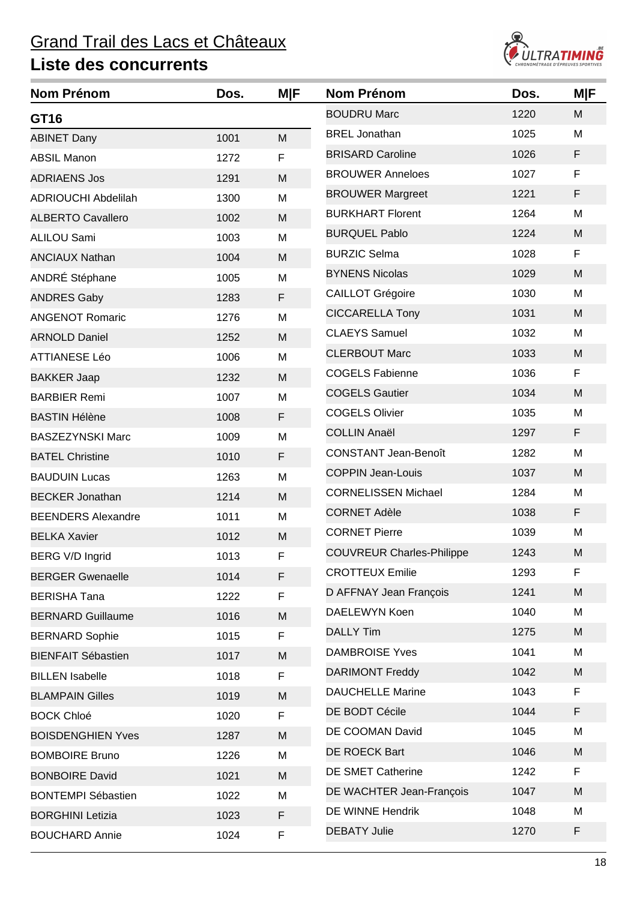## Grand Trail des Lacs et Châteaux **Liste des concurrents**



| <b>Nom Prénom</b>          | Dos. | M F | <b>Nom Prénom</b>                | Dos. | <b>M F</b> |
|----------------------------|------|-----|----------------------------------|------|------------|
| GT16                       |      |     | <b>BOUDRU Marc</b>               | 1220 | M          |
| <b>ABINET Dany</b>         | 1001 | M   | <b>BREL Jonathan</b>             | 1025 | М          |
| <b>ABSIL Manon</b>         | 1272 | F   | <b>BRISARD Caroline</b>          | 1026 | F          |
| <b>ADRIAENS Jos</b>        | 1291 | M   | <b>BROUWER Anneloes</b>          | 1027 | F          |
| <b>ADRIOUCHI Abdelilah</b> | 1300 | M   | <b>BROUWER Margreet</b>          | 1221 | F          |
| <b>ALBERTO Cavallero</b>   | 1002 | M   | <b>BURKHART Florent</b>          | 1264 | M          |
| <b>ALILOU Sami</b>         | 1003 | M   | <b>BURQUEL Pablo</b>             | 1224 | M          |
| <b>ANCIAUX Nathan</b>      | 1004 | M   | <b>BURZIC Selma</b>              | 1028 | F          |
| ANDRÉ Stéphane             | 1005 | M   | <b>BYNENS Nicolas</b>            | 1029 | M          |
| <b>ANDRES Gaby</b>         | 1283 | F   | <b>CAILLOT Grégoire</b>          | 1030 | M          |
| <b>ANGENOT Romaric</b>     | 1276 | M   | <b>CICCARELLA Tony</b>           | 1031 | M          |
| <b>ARNOLD Daniel</b>       | 1252 | M   | <b>CLAEYS Samuel</b>             | 1032 | M          |
| <b>ATTIANESE Léo</b>       | 1006 | M   | <b>CLERBOUT Marc</b>             | 1033 | M          |
| <b>BAKKER Jaap</b>         | 1232 | M   | <b>COGELS Fabienne</b>           | 1036 | F          |
| <b>BARBIER Remi</b>        | 1007 | M   | <b>COGELS Gautier</b>            | 1034 | M          |
| <b>BASTIN Hélène</b>       | 1008 | F   | <b>COGELS Olivier</b>            | 1035 | M          |
| <b>BASZEZYNSKI Marc</b>    | 1009 | M   | <b>COLLIN Anaël</b>              | 1297 | F          |
| <b>BATEL Christine</b>     | 1010 | F   | <b>CONSTANT Jean-Benoît</b>      | 1282 | M          |
| <b>BAUDUIN Lucas</b>       | 1263 | M   | <b>COPPIN Jean-Louis</b>         | 1037 | M          |
| <b>BECKER Jonathan</b>     | 1214 | M   | <b>CORNELISSEN Michael</b>       | 1284 | M          |
| <b>BEENDERS Alexandre</b>  | 1011 | M   | <b>CORNET Adèle</b>              | 1038 | F          |
| <b>BELKA Xavier</b>        | 1012 | M   | <b>CORNET Pierre</b>             | 1039 | M          |
| BERG V/D Ingrid            | 1013 | F   | <b>COUVREUR Charles-Philippe</b> | 1243 | M          |
| <b>BERGER Gwenaelle</b>    | 1014 | F   | <b>CROTTEUX Emilie</b>           | 1293 | F          |
| <b>BERISHA Tana</b>        | 1222 | F   | D AFFNAY Jean François           | 1241 | M          |
| <b>BERNARD Guillaume</b>   | 1016 | M   | DAELEWYN Koen                    | 1040 | M          |
| <b>BERNARD Sophie</b>      | 1015 | F   | <b>DALLY Tim</b>                 | 1275 | M          |
| <b>BIENFAIT Sébastien</b>  | 1017 | M   | <b>DAMBROISE Yves</b>            | 1041 | M          |
| <b>BILLEN</b> Isabelle     | 1018 | F   | <b>DARIMONT Freddy</b>           | 1042 | M          |
| <b>BLAMPAIN Gilles</b>     | 1019 | M   | <b>DAUCHELLE Marine</b>          | 1043 | F          |
| <b>BOCK Chloé</b>          | 1020 | F   | DE BODT Cécile                   | 1044 | F          |
| <b>BOISDENGHIEN Yves</b>   | 1287 | M   | DE COOMAN David                  | 1045 | M          |
| <b>BOMBOIRE Bruno</b>      | 1226 | M   | DE ROECK Bart                    | 1046 | M          |
| <b>BONBOIRE David</b>      | 1021 | M   | DE SMET Catherine                | 1242 | F          |
| <b>BONTEMPI Sébastien</b>  | 1022 | M   | DE WACHTER Jean-François         | 1047 | M          |
| <b>BORGHINI Letizia</b>    | 1023 | F   | DE WINNE Hendrik                 | 1048 | M          |
| <b>BOUCHARD Annie</b>      | 1024 | F   | <b>DEBATY Julie</b>              | 1270 | F          |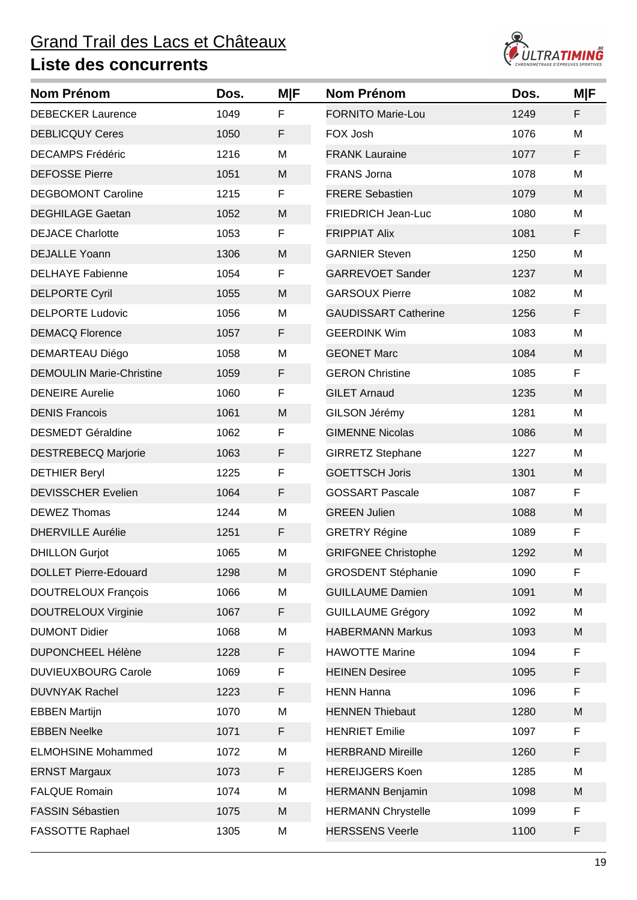

| <b>Nom Prénom</b>               | Dos. | M F | <b>Nom Prénom</b>           | Dos. | <b>M F</b> |
|---------------------------------|------|-----|-----------------------------|------|------------|
| <b>DEBECKER Laurence</b>        | 1049 | F   | <b>FORNITO Marie-Lou</b>    | 1249 | F          |
| <b>DEBLICQUY Ceres</b>          | 1050 | F   | FOX Josh                    | 1076 | M          |
| <b>DECAMPS Frédéric</b>         | 1216 | M   | <b>FRANK Lauraine</b>       | 1077 | F          |
| <b>DEFOSSE Pierre</b>           | 1051 | M   | <b>FRANS Jorna</b>          | 1078 | M          |
| <b>DEGBOMONT Caroline</b>       | 1215 | F   | <b>FRERE Sebastien</b>      | 1079 | M          |
| <b>DEGHILAGE Gaetan</b>         | 1052 | M   | <b>FRIEDRICH Jean-Luc</b>   | 1080 | M          |
| <b>DEJACE Charlotte</b>         | 1053 | F   | <b>FRIPPIAT Alix</b>        | 1081 | F          |
| <b>DEJALLE Yoann</b>            | 1306 | M   | <b>GARNIER Steven</b>       | 1250 | M          |
| <b>DELHAYE Fabienne</b>         | 1054 | F   | <b>GARREVOET Sander</b>     | 1237 | M          |
| <b>DELPORTE Cyril</b>           | 1055 | M   | <b>GARSOUX Pierre</b>       | 1082 | M          |
| <b>DELPORTE Ludovic</b>         | 1056 | M   | <b>GAUDISSART Catherine</b> | 1256 | F          |
| <b>DEMACQ Florence</b>          | 1057 | F   | <b>GEERDINK Wim</b>         | 1083 | M          |
| DEMARTEAU Diégo                 | 1058 | M   | <b>GEONET Marc</b>          | 1084 | M          |
| <b>DEMOULIN Marie-Christine</b> | 1059 | F   | <b>GERON Christine</b>      | 1085 | F          |
| <b>DENEIRE</b> Aurelie          | 1060 | F   | <b>GILET Arnaud</b>         | 1235 | M          |
| <b>DENIS Francois</b>           | 1061 | M   | GILSON Jérémy               | 1281 | M          |
| <b>DESMEDT Géraldine</b>        | 1062 | F   | <b>GIMENNE Nicolas</b>      | 1086 | M          |
| <b>DESTREBECQ Marjorie</b>      | 1063 | F   | <b>GIRRETZ Stephane</b>     | 1227 | M          |
| <b>DETHIER Beryl</b>            | 1225 | F   | <b>GOETTSCH Joris</b>       | 1301 | M          |
| <b>DEVISSCHER Evelien</b>       | 1064 | F   | <b>GOSSART Pascale</b>      | 1087 | F          |
| <b>DEWEZ Thomas</b>             | 1244 | M   | <b>GREEN Julien</b>         | 1088 | M          |
| <b>DHERVILLE Aurélie</b>        | 1251 | F   | <b>GRETRY Régine</b>        | 1089 | F          |
| <b>DHILLON Gurjot</b>           | 1065 | M   | <b>GRIFGNEE Christophe</b>  | 1292 | M          |
| <b>DOLLET Pierre-Edouard</b>    | 1298 | M   | <b>GROSDENT Stéphanie</b>   | 1090 | F          |
| <b>DOUTRELOUX François</b>      | 1066 | M   | <b>GUILLAUME Damien</b>     | 1091 | M          |
| <b>DOUTRELOUX Virginie</b>      | 1067 | F   | <b>GUILLAUME Grégory</b>    | 1092 | M          |
| <b>DUMONT Didier</b>            | 1068 | M   | <b>HABERMANN Markus</b>     | 1093 | M          |
| <b>DUPONCHEEL Hélène</b>        | 1228 | F   | <b>HAWOTTE Marine</b>       | 1094 | F          |
| <b>DUVIEUXBOURG Carole</b>      | 1069 | F   | <b>HEINEN Desiree</b>       | 1095 | F          |
| <b>DUVNYAK Rachel</b>           | 1223 | F   | <b>HENN Hanna</b>           | 1096 | F          |
| <b>EBBEN Martijn</b>            | 1070 | M   | <b>HENNEN Thiebaut</b>      | 1280 | M          |
| <b>EBBEN Neelke</b>             | 1071 | F   | <b>HENRIET Emilie</b>       | 1097 | F          |
| <b>ELMOHSINE Mohammed</b>       | 1072 | M   | <b>HERBRAND Mireille</b>    | 1260 | F          |
| <b>ERNST Margaux</b>            | 1073 | F   | <b>HEREIJGERS Koen</b>      | 1285 | M          |
| <b>FALQUE Romain</b>            | 1074 | M   | <b>HERMANN Benjamin</b>     | 1098 | M          |
| <b>FASSIN Sébastien</b>         | 1075 | M   | <b>HERMANN Chrystelle</b>   | 1099 | F          |
| FASSOTTE Raphael                | 1305 | M   | <b>HERSSENS Veerle</b>      | 1100 | F          |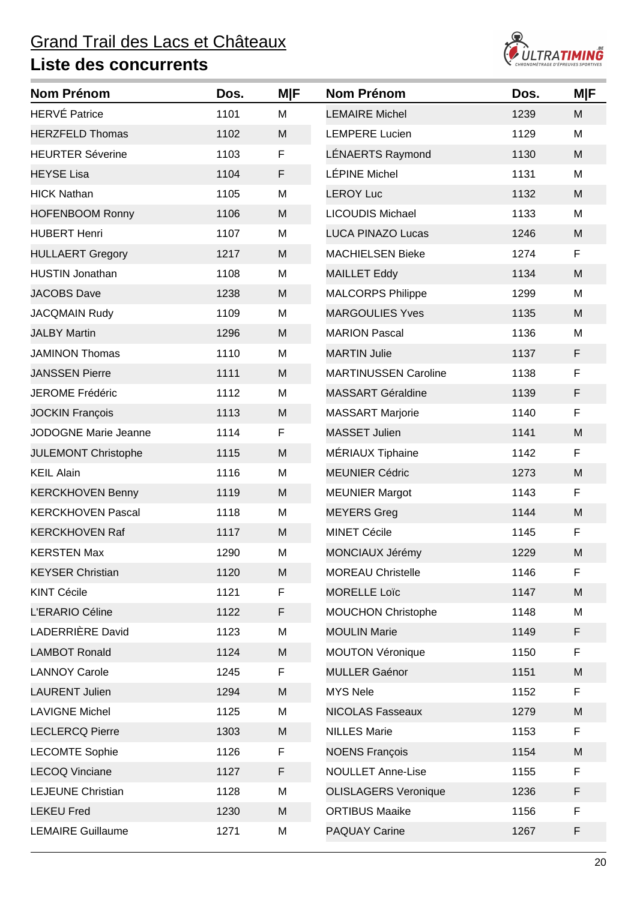

| <b>Nom Prénom</b>          | Dos. | <b>M F</b> | <b>Nom Prénom</b>           | Dos. | <b>M F</b> |
|----------------------------|------|------------|-----------------------------|------|------------|
| <b>HERVÉ Patrice</b>       | 1101 | M          | <b>LEMAIRE Michel</b>       | 1239 | M          |
| <b>HERZFELD Thomas</b>     | 1102 | M          | <b>LEMPERE Lucien</b>       | 1129 | M          |
| <b>HEURTER Séverine</b>    | 1103 | F          | <b>LÉNAERTS Raymond</b>     | 1130 | M          |
| <b>HEYSE Lisa</b>          | 1104 | F          | LÉPINE Michel               | 1131 | М          |
| <b>HICK Nathan</b>         | 1105 | M          | <b>LEROY Luc</b>            | 1132 | M          |
| <b>HOFENBOOM Ronny</b>     | 1106 | M          | <b>LICOUDIS Michael</b>     | 1133 | M          |
| <b>HUBERT Henri</b>        | 1107 | M          | <b>LUCA PINAZO Lucas</b>    | 1246 | M          |
| <b>HULLAERT Gregory</b>    | 1217 | M          | <b>MACHIELSEN Bieke</b>     | 1274 | F          |
| <b>HUSTIN Jonathan</b>     | 1108 | M          | <b>MAILLET Eddy</b>         | 1134 | M          |
| <b>JACOBS Dave</b>         | 1238 | M          | <b>MALCORPS Philippe</b>    | 1299 | M          |
| <b>JACQMAIN Rudy</b>       | 1109 | M          | <b>MARGOULIES Yves</b>      | 1135 | M          |
| <b>JALBY Martin</b>        | 1296 | M          | <b>MARION Pascal</b>        | 1136 | M          |
| <b>JAMINON Thomas</b>      | 1110 | M          | <b>MARTIN Julie</b>         | 1137 | F          |
| <b>JANSSEN Pierre</b>      | 1111 | M          | <b>MARTINUSSEN Caroline</b> | 1138 | F          |
| JEROME Frédéric            | 1112 | M          | <b>MASSART Géraldine</b>    | 1139 | F          |
| <b>JOCKIN François</b>     | 1113 | M          | <b>MASSART Marjorie</b>     | 1140 | F          |
| JODOGNE Marie Jeanne       | 1114 | F          | <b>MASSET Julien</b>        | 1141 | M          |
| <b>JULEMONT Christophe</b> | 1115 | M          | MÉRIAUX Tiphaine            | 1142 | F          |
| <b>KEIL Alain</b>          | 1116 | M          | <b>MEUNIER Cédric</b>       | 1273 | M          |
| <b>KERCKHOVEN Benny</b>    | 1119 | M          | <b>MEUNIER Margot</b>       | 1143 | F          |
| <b>KERCKHOVEN Pascal</b>   | 1118 | M          | <b>MEYERS Greg</b>          | 1144 | M          |
| <b>KERCKHOVEN Raf</b>      | 1117 | M          | <b>MINET Cécile</b>         | 1145 | F          |
| <b>KERSTEN Max</b>         | 1290 | M          | MONCIAUX Jérémy             | 1229 | M          |
| <b>KEYSER Christian</b>    | 1120 | M          | <b>MOREAU Christelle</b>    | 1146 | F          |
| <b>KINT Cécile</b>         | 1121 | F          | <b>MORELLE Loïc</b>         | 1147 | M          |
| L'ERARIO Céline            | 1122 | F          | <b>MOUCHON Christophe</b>   | 1148 | M          |
| LADERRIÈRE David           | 1123 | M          | <b>MOULIN Marie</b>         | 1149 | F          |
| <b>LAMBOT Ronald</b>       | 1124 | M          | <b>MOUTON Véronique</b>     | 1150 | F          |
| <b>LANNOY Carole</b>       | 1245 | F          | <b>MULLER Gaénor</b>        | 1151 | M          |
| <b>LAURENT Julien</b>      | 1294 | M          | <b>MYS Nele</b>             | 1152 | F          |
| <b>LAVIGNE Michel</b>      | 1125 | М          | <b>NICOLAS Fasseaux</b>     | 1279 | M          |
| <b>LECLERCQ Pierre</b>     | 1303 | M          | <b>NILLES Marie</b>         | 1153 | F          |
| <b>LECOMTE Sophie</b>      | 1126 | F          | <b>NOENS François</b>       | 1154 | M          |
| <b>LECOQ Vinciane</b>      | 1127 | F          | <b>NOULLET Anne-Lise</b>    | 1155 | F          |
| <b>LEJEUNE Christian</b>   | 1128 | M          | <b>OLISLAGERS Veronique</b> | 1236 | F          |
| <b>LEKEU Fred</b>          | 1230 | M          | <b>ORTIBUS Maaike</b>       | 1156 | F          |
| <b>LEMAIRE Guillaume</b>   | 1271 | M          | <b>PAQUAY Carine</b>        | 1267 | F          |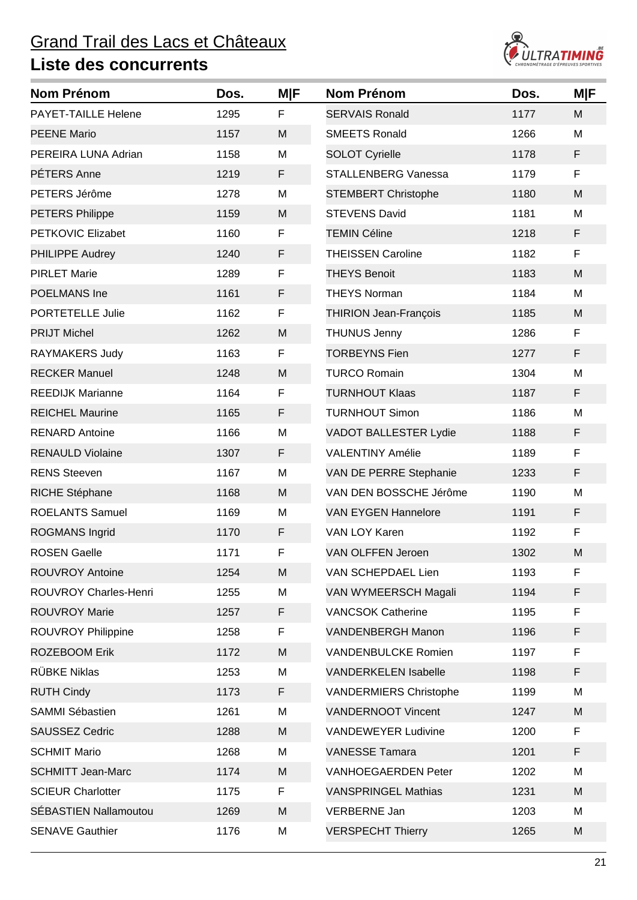

| <b>Nom Prénom</b>            | Dos. | <b>M F</b>   | <b>Nom Prénom</b>             | Dos. | <b>MIF</b> |
|------------------------------|------|--------------|-------------------------------|------|------------|
| PAYET-TAILLE Helene          | 1295 | $\mathsf{F}$ | <b>SERVAIS Ronald</b>         | 1177 | M          |
| <b>PEENE Mario</b>           | 1157 | M            | <b>SMEETS Ronald</b>          | 1266 | M          |
| PEREIRA LUNA Adrian          | 1158 | M            | <b>SOLOT Cyrielle</b>         | 1178 | F          |
| PÉTERS Anne                  | 1219 | F            | <b>STALLENBERG Vanessa</b>    | 1179 | F          |
| PETERS Jérôme                | 1278 | M            | <b>STEMBERT Christophe</b>    | 1180 | M          |
| <b>PETERS Philippe</b>       | 1159 | M            | <b>STEVENS David</b>          | 1181 | M          |
| <b>PETKOVIC Elizabet</b>     | 1160 | F            | <b>TEMIN Céline</b>           | 1218 | F          |
| PHILIPPE Audrey              | 1240 | F            | <b>THEISSEN Caroline</b>      | 1182 | F          |
| <b>PIRLET Marie</b>          | 1289 | F            | <b>THEYS Benoit</b>           | 1183 | M          |
| POELMANS Ine                 | 1161 | F            | <b>THEYS Norman</b>           | 1184 | M          |
| <b>PORTETELLE Julie</b>      | 1162 | F            | <b>THIRION Jean-François</b>  | 1185 | M          |
| <b>PRIJT Michel</b>          | 1262 | M            | <b>THUNUS Jenny</b>           | 1286 | F          |
| <b>RAYMAKERS Judy</b>        | 1163 | F            | <b>TORBEYNS Fien</b>          | 1277 | F          |
| <b>RECKER Manuel</b>         | 1248 | M            | <b>TURCO Romain</b>           | 1304 | M          |
| <b>REEDIJK Marianne</b>      | 1164 | F            | <b>TURNHOUT Klaas</b>         | 1187 | F          |
| <b>REICHEL Maurine</b>       | 1165 | F            | <b>TURNHOUT Simon</b>         | 1186 | M          |
| <b>RENARD Antoine</b>        | 1166 | M            | <b>VADOT BALLESTER Lydie</b>  | 1188 | F          |
| <b>RENAULD Violaine</b>      | 1307 | F            | <b>VALENTINY Amélie</b>       | 1189 | F          |
| <b>RENS Steeven</b>          | 1167 | M            | VAN DE PERRE Stephanie        | 1233 | F          |
| RICHE Stéphane               | 1168 | M            | VAN DEN BOSSCHE Jérôme        | 1190 | M          |
| <b>ROELANTS Samuel</b>       | 1169 | M            | <b>VAN EYGEN Hannelore</b>    | 1191 | F          |
| <b>ROGMANS Ingrid</b>        | 1170 | F            | <b>VAN LOY Karen</b>          | 1192 | F          |
| <b>ROSEN Gaelle</b>          | 1171 | F            | VAN OLFFEN Jeroen             | 1302 | M          |
| <b>ROUVROY Antoine</b>       | 1254 | M            | VAN SCHEPDAEL Lien            | 1193 | F          |
| ROUVROY Charles-Henri        | 1255 | M            | VAN WYMEERSCH Magali          | 1194 | F          |
| <b>ROUVROY Marie</b>         | 1257 | F            | <b>VANCSOK Catherine</b>      | 1195 | F          |
| ROUVROY Philippine           | 1258 | F            | <b>VANDENBERGH Manon</b>      | 1196 | F          |
| <b>ROZEBOOM Erik</b>         | 1172 | M            | <b>VANDENBULCKE Romien</b>    | 1197 | F          |
| <b>RÜBKE Niklas</b>          | 1253 | M            | <b>VANDERKELEN Isabelle</b>   | 1198 | F          |
| <b>RUTH Cindy</b>            | 1173 | F            | <b>VANDERMIERS Christophe</b> | 1199 | M          |
| SAMMI Sébastien              | 1261 | M            | <b>VANDERNOOT Vincent</b>     | 1247 | M          |
| <b>SAUSSEZ Cedric</b>        | 1288 | M            | <b>VANDEWEYER Ludivine</b>    | 1200 | F          |
| <b>SCHMIT Mario</b>          | 1268 | M            | <b>VANESSE Tamara</b>         | 1201 | F          |
| <b>SCHMITT Jean-Marc</b>     | 1174 | M            | <b>VANHOEGAERDEN Peter</b>    | 1202 | M          |
| <b>SCIEUR Charlotter</b>     | 1175 | F            | <b>VANSPRINGEL Mathias</b>    | 1231 | M          |
| <b>SÉBASTIEN Nallamoutou</b> | 1269 | M            | <b>VERBERNE Jan</b>           | 1203 | M          |
| <b>SENAVE Gauthier</b>       | 1176 | M            | <b>VERSPECHT Thierry</b>      | 1265 | M          |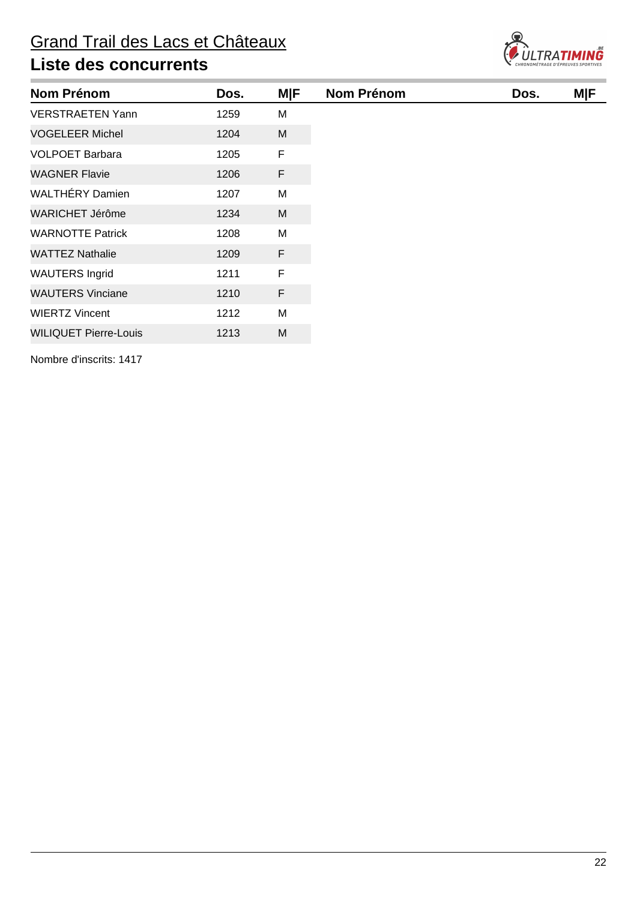

| <b>Nom Prénom</b>            | Dos. | <b>MIF</b> | <b>Nom Prénom</b> | Dos. | <b>MIF</b> |
|------------------------------|------|------------|-------------------|------|------------|
| <b>VERSTRAETEN Yann</b>      | 1259 | M          |                   |      |            |
| <b>VOGELEER Michel</b>       | 1204 | M          |                   |      |            |
| <b>VOLPOET Barbara</b>       | 1205 | F          |                   |      |            |
| <b>WAGNER Flavie</b>         | 1206 | F          |                   |      |            |
| <b>WALTHÉRY Damien</b>       | 1207 | M          |                   |      |            |
| <b>WARICHET Jérôme</b>       | 1234 | M          |                   |      |            |
| <b>WARNOTTE Patrick</b>      | 1208 | M          |                   |      |            |
| <b>WATTEZ Nathalie</b>       | 1209 | F          |                   |      |            |
| <b>WAUTERS Ingrid</b>        | 1211 | F          |                   |      |            |
| <b>WAUTERS Vinciane</b>      | 1210 | F          |                   |      |            |
| <b>WIERTZ Vincent</b>        | 1212 | M          |                   |      |            |
| <b>WILIQUET Pierre-Louis</b> | 1213 | M          |                   |      |            |

Nombre d'inscrits: 1417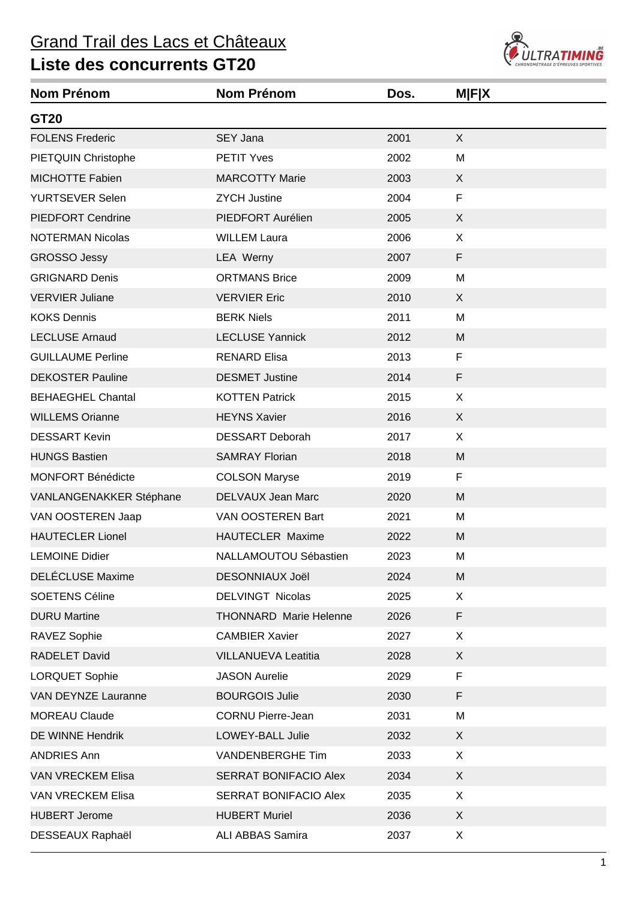## Grand Trail des Lacs et Châteaux



| <b>Nom Prénom</b>        | <b>Nom Prénom</b>             | Dos. | <b>MFIX</b> |
|--------------------------|-------------------------------|------|-------------|
| GT20                     |                               |      |             |
| <b>FOLENS Frederic</b>   | SEY Jana                      | 2001 | X           |
| PIETQUIN Christophe      | <b>PETIT Yves</b>             | 2002 | M           |
| <b>MICHOTTE Fabien</b>   | <b>MARCOTTY Marie</b>         | 2003 | X           |
| <b>YURTSEVER Selen</b>   | <b>ZYCH Justine</b>           | 2004 | F           |
| <b>PIEDFORT Cendrine</b> | PIEDFORT Aurélien             | 2005 | X           |
| <b>NOTERMAN Nicolas</b>  | <b>WILLEM Laura</b>           | 2006 | X           |
| <b>GROSSO Jessy</b>      | LEA Werny                     | 2007 | F           |
| <b>GRIGNARD Denis</b>    | <b>ORTMANS Brice</b>          | 2009 | M           |
| <b>VERVIER Juliane</b>   | <b>VERVIER Eric</b>           | 2010 | X           |
| <b>KOKS Dennis</b>       | <b>BERK Niels</b>             | 2011 | M           |
| <b>LECLUSE Arnaud</b>    | <b>LECLUSE Yannick</b>        | 2012 | M           |
| <b>GUILLAUME Perline</b> | <b>RENARD Elisa</b>           | 2013 | $\mathsf F$ |
| <b>DEKOSTER Pauline</b>  | <b>DESMET Justine</b>         | 2014 | F           |
| <b>BEHAEGHEL Chantal</b> | <b>KOTTEN Patrick</b>         | 2015 | X           |
| <b>WILLEMS Orianne</b>   | <b>HEYNS Xavier</b>           | 2016 | X           |
| <b>DESSART Kevin</b>     | <b>DESSART Deborah</b>        | 2017 | X           |
| <b>HUNGS Bastien</b>     | <b>SAMRAY Florian</b>         | 2018 | M           |
| <b>MONFORT Bénédicte</b> | <b>COLSON Maryse</b>          | 2019 | F           |
| VANLANGENAKKER Stéphane  | DELVAUX Jean Marc             | 2020 | M           |
| VAN OOSTEREN Jaap        | VAN OOSTEREN Bart             | 2021 | M           |
| <b>HAUTECLER Lionel</b>  | HAUTECLER Maxime              | 2022 | M           |
| <b>LEMOINE Didier</b>    | NALLAMOUTOU Sébastien         | 2023 | M           |
| <b>DELÉCLUSE Maxime</b>  | <b>DESONNIAUX Joël</b>        | 2024 | M           |
| <b>SOETENS Céline</b>    | <b>DELVINGT Nicolas</b>       | 2025 | X           |
| <b>DURU Martine</b>      | <b>THONNARD Marie Helenne</b> | 2026 | F           |
| RAVEZ Sophie             | <b>CAMBIER Xavier</b>         | 2027 | X           |
| <b>RADELET David</b>     | <b>VILLANUEVA Leatitia</b>    | 2028 | X           |
| <b>LORQUET Sophie</b>    | <b>JASON Aurelie</b>          | 2029 | F           |
| VAN DEYNZE Lauranne      | <b>BOURGOIS Julie</b>         | 2030 | F           |
| <b>MOREAU Claude</b>     | <b>CORNU Pierre-Jean</b>      | 2031 | M           |
| DE WINNE Hendrik         | LOWEY-BALL Julie              | 2032 | X           |
| <b>ANDRIES Ann</b>       | VANDENBERGHE Tim              | 2033 | X           |
| <b>VAN VRECKEM Elisa</b> | SERRAT BONIFACIO Alex         | 2034 | X           |
| <b>VAN VRECKEM Elisa</b> | SERRAT BONIFACIO Alex         | 2035 | X           |
| <b>HUBERT Jerome</b>     | <b>HUBERT Muriel</b>          | 2036 | X           |
| DESSEAUX Raphaël         | <b>ALI ABBAS Samira</b>       | 2037 | X           |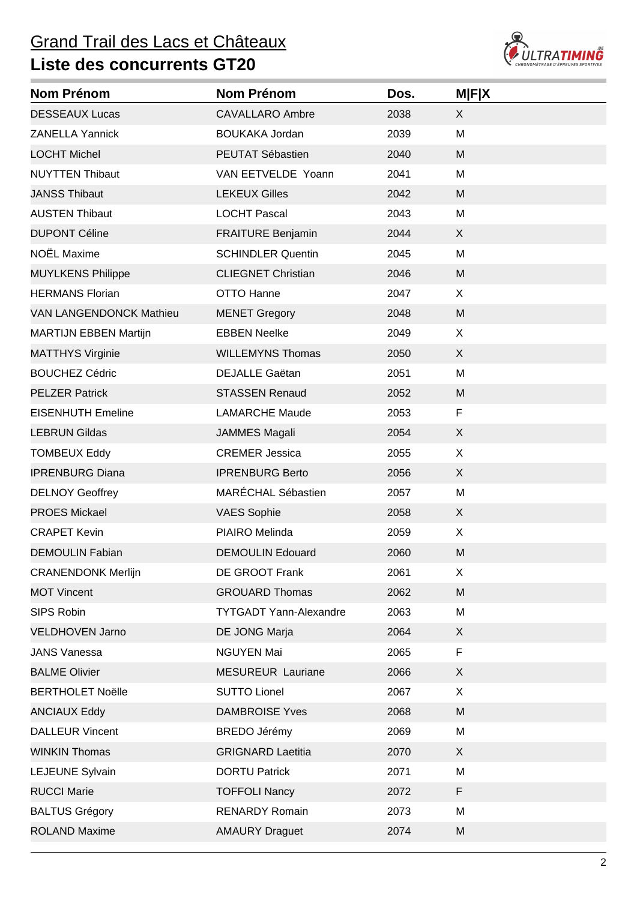#### Grand Trail des Lacs et Châteaux



| <b>Nom Prénom</b>              | Nom Prénom                    | Dos. | <b>MFIX</b>               |
|--------------------------------|-------------------------------|------|---------------------------|
| <b>DESSEAUX Lucas</b>          | <b>CAVALLARO Ambre</b>        | 2038 | X                         |
| <b>ZANELLA Yannick</b>         | <b>BOUKAKA Jordan</b>         | 2039 | M                         |
| <b>LOCHT Michel</b>            | PEUTAT Sébastien              | 2040 | M                         |
| <b>NUYTTEN Thibaut</b>         | VAN EETVELDE Yoann            | 2041 | M                         |
| <b>JANSS Thibaut</b>           | <b>LEKEUX Gilles</b>          | 2042 | M                         |
| <b>AUSTEN Thibaut</b>          | <b>LOCHT Pascal</b>           | 2043 | M                         |
| <b>DUPONT Céline</b>           | <b>FRAITURE Benjamin</b>      | 2044 | X                         |
| NOËL Maxime                    | <b>SCHINDLER Quentin</b>      | 2045 | M                         |
| <b>MUYLKENS Philippe</b>       | <b>CLIEGNET Christian</b>     | 2046 | M                         |
| <b>HERMANS Florian</b>         | OTTO Hanne                    | 2047 | X                         |
| <b>VAN LANGENDONCK Mathieu</b> | <b>MENET Gregory</b>          | 2048 | M                         |
| <b>MARTIJN EBBEN Martijn</b>   | <b>EBBEN Neelke</b>           | 2049 | X                         |
| <b>MATTHYS Virginie</b>        | <b>WILLEMYNS Thomas</b>       | 2050 | X                         |
| <b>BOUCHEZ Cédric</b>          | <b>DEJALLE Gaëtan</b>         | 2051 | M                         |
| <b>PELZER Patrick</b>          | <b>STASSEN Renaud</b>         | 2052 | M                         |
| <b>EISENHUTH Emeline</b>       | <b>LAMARCHE Maude</b>         | 2053 | F                         |
| <b>LEBRUN Gildas</b>           | <b>JAMMES Magali</b>          | 2054 | X                         |
| <b>TOMBEUX Eddy</b>            | <b>CREMER Jessica</b>         | 2055 | X                         |
| <b>IPRENBURG Diana</b>         | <b>IPRENBURG Berto</b>        | 2056 | X                         |
| <b>DELNOY Geoffrey</b>         | MARÉCHAL Sébastien            | 2057 | M                         |
| <b>PROES Mickael</b>           | <b>VAES Sophie</b>            | 2058 | X                         |
| <b>CRAPET Kevin</b>            | PIAIRO Melinda                | 2059 | X                         |
| <b>DEMOULIN Fabian</b>         | <b>DEMOULIN Edouard</b>       | 2060 | M                         |
| <b>CRANENDONK Merlijn</b>      | <b>DE GROOT Frank</b>         | 2061 | X                         |
| <b>MOT Vincent</b>             | <b>GROUARD Thomas</b>         | 2062 | M                         |
| SIPS Robin                     | <b>TYTGADT Yann-Alexandre</b> | 2063 | M                         |
| <b>VELDHOVEN Jarno</b>         | DE JONG Marja                 | 2064 | $\boldsymbol{\mathsf{X}}$ |
| <b>JANS Vanessa</b>            | <b>NGUYEN Mai</b>             | 2065 | F                         |
| <b>BALME Olivier</b>           | <b>MESUREUR Lauriane</b>      | 2066 | X                         |
| <b>BERTHOLET Noëlle</b>        | <b>SUTTO Lionel</b>           | 2067 | X                         |
| <b>ANCIAUX Eddy</b>            | <b>DAMBROISE Yves</b>         | 2068 | M                         |
| <b>DALLEUR Vincent</b>         | <b>BREDO Jérémy</b>           | 2069 | M                         |
| <b>WINKIN Thomas</b>           | <b>GRIGNARD Laetitia</b>      | 2070 | X                         |
| LEJEUNE Sylvain                | <b>DORTU Patrick</b>          | 2071 | M                         |
| <b>RUCCI Marie</b>             | <b>TOFFOLI Nancy</b>          | 2072 | F                         |
| <b>BALTUS Grégory</b>          | <b>RENARDY Romain</b>         | 2073 | M                         |
| <b>ROLAND Maxime</b>           | <b>AMAURY Draguet</b>         | 2074 | M                         |
|                                |                               |      |                           |